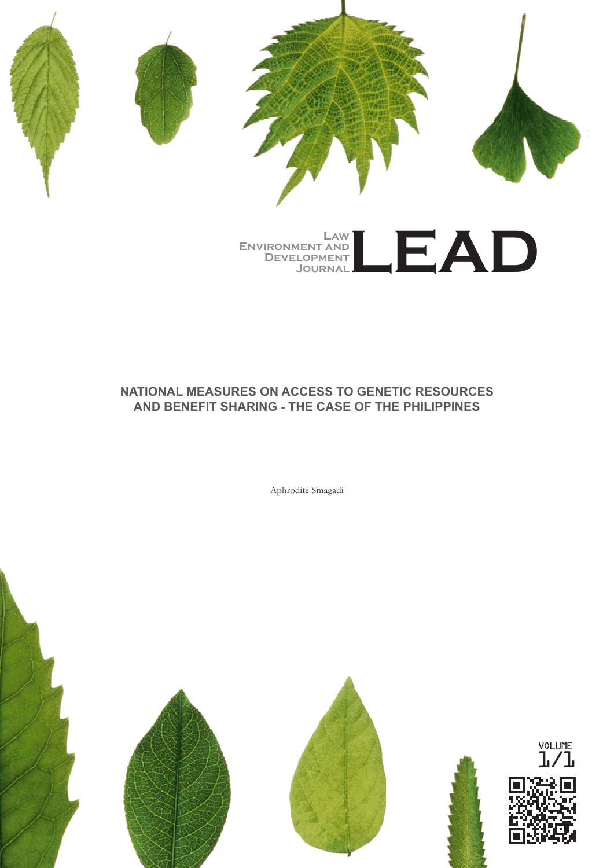

#### **National Measures on Access to Genetic Resources and Benefit Sharing - The Case of the Philippines**

Aphrodite Smagadi



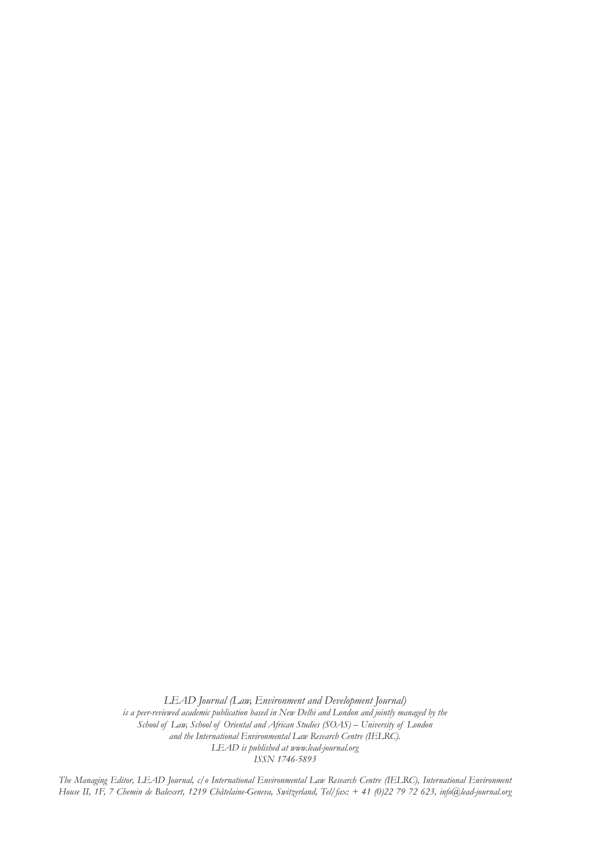*LEAD Journal (Law, Environment and Development Journal) is a peer-reviewed academic publication based in New Delhi and London and jointly managed by the School of Law, School of Oriental and African Studies (SOAS) – University of London and the International Environmental Law Research Centre (IELRC). LEAD is published at www.lead-journal.org ISSN 1746-5893*

*The Managing Editor, LEAD Journal, c/o International Environmental Law Research Centre (IELRC), International Environment House II, 1F, 7 Chemin de Balexert, 1219 Châtelaine-Geneva, Switzerland, Tel/fax: + 41 (0)22 79 72 623, info@lead-journal.org*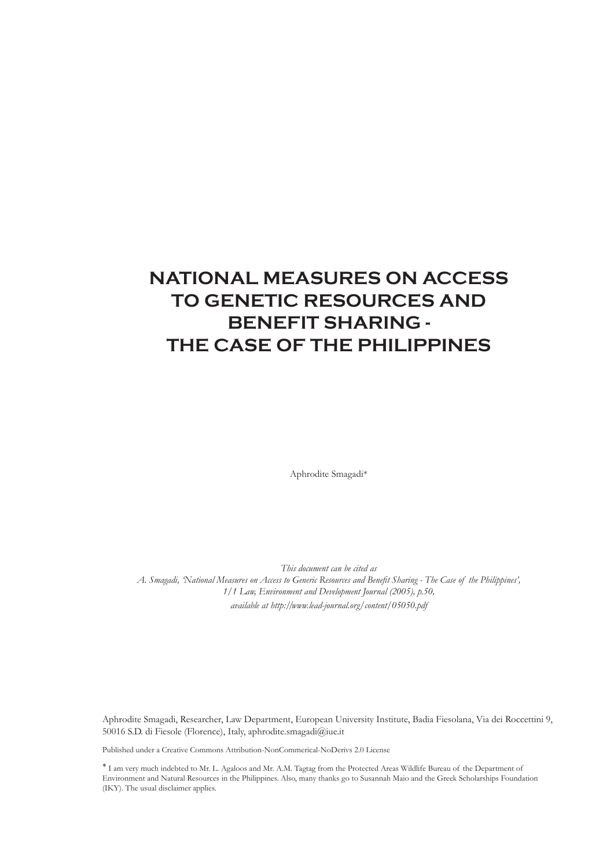### **National Measures on Access to Genetic Resources and Benefit Sharing - The Case of the Philippines**

Aphrodite Smagadi\*

*This document can be cited as A. Smagadi, 'National Measures on Access to Generic Resources and Benefit Sharing - The Case of the Philippines', 1/1 Law, Environment and Development Journal (2005), p.50, available at http://www.lead-journal.org/content/05050.pdf*

Aphrodite Smagadi, Researcher, Law Department, European University Institute, Badia Fiesolana, Via dei Roccettini 9, 50016 S.D. di Fiesole (Florence), Italy, aphrodite.smagadi@iue.it

Published under a Creative Commons Attribution-NonCommerical-NoDerivs 2.0 License

<sup>∗</sup> I am very much indebted to Mr. L. Agaloos and Mr. A.M. Tagtag from the Protected Areas Wildlife Bureau of the Department of Environment and Natural Resources in the Philippines. Also, many thanks go to Susannah Maio and the Greek Scholarships Foundation (IKY). The usual disclaimer applies.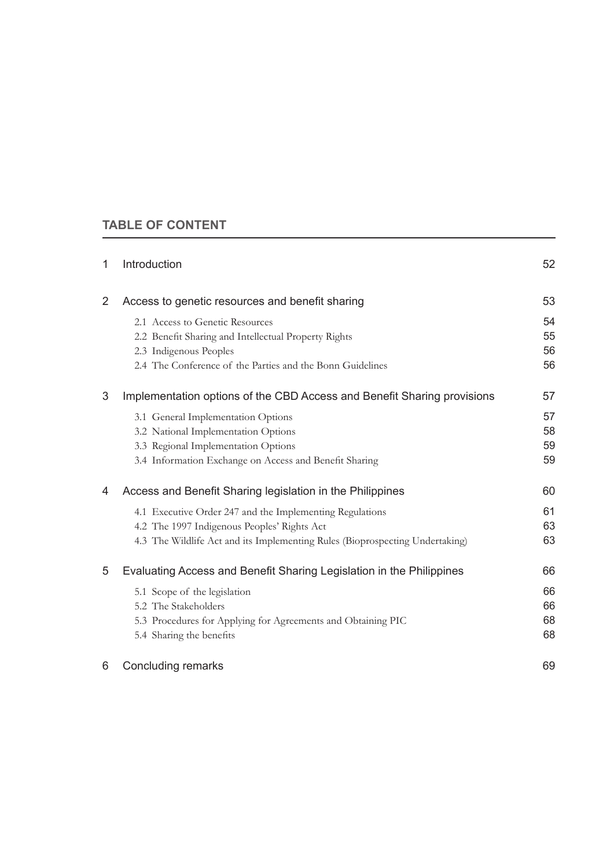#### **Table of Content**

| 1              | Introduction                                                                 | 52 |
|----------------|------------------------------------------------------------------------------|----|
| $\overline{2}$ | Access to genetic resources and benefit sharing                              | 53 |
|                | 2.1 Access to Genetic Resources                                              | 54 |
|                | 2.2 Benefit Sharing and Intellectual Property Rights                         | 55 |
|                | 2.3 Indigenous Peoples                                                       | 56 |
|                | 2.4 The Conference of the Parties and the Bonn Guidelines                    | 56 |
| 3              | Implementation options of the CBD Access and Benefit Sharing provisions      | 57 |
|                | 3.1 General Implementation Options                                           | 57 |
|                | 3.2 National Implementation Options                                          | 58 |
|                | 3.3 Regional Implementation Options                                          | 59 |
|                | 3.4 Information Exchange on Access and Benefit Sharing                       | 59 |
| 4              | Access and Benefit Sharing legislation in the Philippines                    | 60 |
|                | 4.1 Executive Order 247 and the Implementing Regulations                     | 61 |
|                | 4.2 The 1997 Indigenous Peoples' Rights Act                                  | 63 |
|                | 4.3 The Wildlife Act and its Implementing Rules (Bioprospecting Undertaking) | 63 |
| 5              | Evaluating Access and Benefit Sharing Legislation in the Philippines         | 66 |
|                | 5.1 Scope of the legislation                                                 | 66 |
|                | 5.2 The Stakeholders                                                         | 66 |
|                | 5.3 Procedures for Applying for Agreements and Obtaining PIC                 | 68 |
|                | 5.4 Sharing the benefits                                                     | 68 |
| 6              | Concluding remarks                                                           | 69 |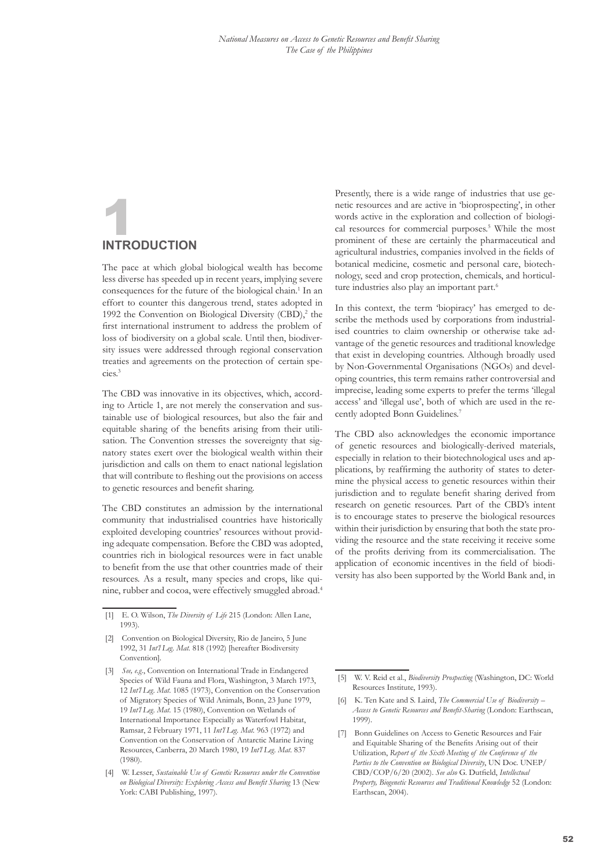# <span id="page-4-0"></span>**INTRODUCTIO**

The pace at which global biological wealth has become less diverse has speeded up in recent years, implying severe consequences for the future of the biological chain.<sup>1</sup> In an effort to counter this dangerous trend, states adopted in 1992 the Convention on Biological Diversity (CBD),<sup>2</sup> the first international instrument to address the problem of loss of biodiversity on a global scale. Until then, biodiversity issues were addressed through regional conservation treaties and agreements on the protection of certain species.3

The CBD was innovative in its objectives, which, according to Article 1, are not merely the conservation and sustainable use of biological resources, but also the fair and equitable sharing of the benefits arising from their utilisation. The Convention stresses the sovereignty that signatory states exert over the biological wealth within their jurisdiction and calls on them to enact national legislation that will contribute to fleshing out the provisions on access to genetic resources and benefit sharing.

The CBD constitutes an admission by the international community that industrialised countries have historically exploited developing countries' resources without providing adequate compensation. Before the CBD was adopted, countries rich in biological resources were in fact unable to benefit from the use that other countries made of their resources. As a result, many species and crops, like quinine, rubber and cocoa, were effectively smuggled abroad.4 Presently, there is a wide range of industries that use genetic resources and are active in 'bioprospecting', in other words active in the exploration and collection of biological resources for commercial purposes.<sup>5</sup> While the most prominent of these are certainly the pharmaceutical and agricultural industries, companies involved in the fields of botanical medicine, cosmetic and personal care, biotechnology, seed and crop protection, chemicals, and horticulture industries also play an important part.<sup>6</sup>

In this context, the term 'biopiracy' has emerged to describe the methods used by corporations from industrialised countries to claim ownership or otherwise take advantage of the genetic resources and traditional knowledge that exist in developing countries. Although broadly used by Non-Governmental Organisations (NGOs) and developing countries, this term remains rather controversial and imprecise, leading some experts to prefer the terms 'illegal access' and 'illegal use', both of which are used in the recently adopted Bonn Guidelines.7

The CBD also acknowledges the economic importance of genetic resources and biologically-derived materials, especially in relation to their biotechnological uses and applications, by reaffirming the authority of states to determine the physical access to genetic resources within their jurisdiction and to regulate benefit sharing derived from research on genetic resources. Part of the CBD's intent is to encourage states to preserve the biological resources within their jurisdiction by ensuring that both the state providing the resource and the state receiving it receive some of the profits deriving from its commercialisation. The application of economic incentives in the field of biodiversity has also been supported by the World Bank and, in

<sup>[1]</sup> E. O. Wilson, *The Diversity of Life* 215 (London: Allen Lane, 1993).

<sup>[2]</sup> Convention on Biological Diversity, Rio de Janeiro, 5 June 1992, 31 *Int'l Leg. Mat.* 818 (1992) [hereafter Biodiversity Convention].

<sup>[3]</sup> *See, e.g.*, Convention on International Trade in Endangered Species of Wild Fauna and Flora, Washington, 3 March 1973, 12 *Int'l Leg. Mat.* 1085 (1973), Convention on the Conservation of Migratory Species of Wild Animals, Bonn, 23 June 1979, 19 *Int'l Leg. Mat.* 15 (1980), Convention on Wetlands of International Importance Especially as Waterfowl Habitat, Ramsar, 2 February 1971, 11 *Int'l Leg. Mat.* 963 (1972) and Convention on the Conservation of Antarctic Marine Living Resources, Canberra, 20 March 1980, 19 *Int'l Leg. Mat.* 837 (1980).

<sup>[4]</sup> W. Lesser, *Sustainable Use of Genetic Resources under the Convention on Biological Diversity: Exploring Access and Benefit Sharing* 13 (New York: CABI Publishing, 1997).

<sup>[5]</sup> W. V. Reid et al., *Biodiversity Prospecting* (Washington, DC: World Resources Institute, 1993).

<sup>[6]</sup> K. Ten Kate and S. Laird, *The Commercial Use of Biodiversity – Access to Genetic Resources and Benefit-Sharing* (London: Earthscan, 1999).

<sup>[7]</sup> Bonn Guidelines on Access to Genetic Resources and Fair and Equitable Sharing of the Benefits Arising out of their Utilization, *Report of the Sixth Meeting of the Conference of the Parties to the Convention on Biological Diversity*, UN Doc. UNEP/ CBD/COP/6/20 (2002). *See also* G. Dutfield, *Intellectual Property, Biogenetic Resources and Traditional Knowledge* 52 (London: Earthscan, 2004).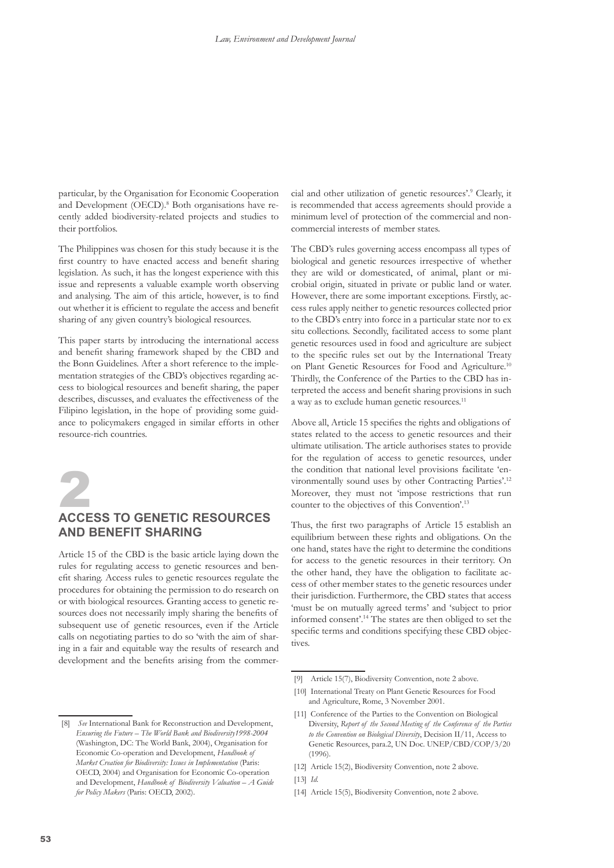<span id="page-5-0"></span>particular, by the Organisation for Economic Cooperation and Development (OECD).<sup>8</sup> Both organisations have recently added biodiversity-related projects and studies to their portfolios.

The Philippines was chosen for this study because it is the first country to have enacted access and benefit sharing legislation. As such, it has the longest experience with this issue and represents a valuable example worth observing and analysing. The aim of this article, however, is to find out whether it is efficient to regulate the access and benefit sharing of any given country's biological resources.

This paper starts by introducing the international access and benefit sharing framework shaped by the CBD and the Bonn Guidelines. After a short reference to the implementation strategies of the CBD's objectives regarding access to biological resources and benefit sharing, the paper describes, discusses, and evaluates the effectiveness of the Filipino legislation, in the hope of providing some guidance to policymakers engaged in similar efforts in other resource-rich countries.



## 2 **Access to genetic resources and benefit sharing**

Article 15 of the CBD is the basic article laying down the rules for regulating access to genetic resources and benefit sharing. Access rules to genetic resources regulate the procedures for obtaining the permission to do research on or with biological resources. Granting access to genetic resources does not necessarily imply sharing the benefits of subsequent use of genetic resources, even if the Article calls on negotiating parties to do so 'with the aim of sharing in a fair and equitable way the results of research and development and the benefits arising from the commer-

cial and other utilization of genetic resources'.9 Clearly, it is recommended that access agreements should provide a minimum level of protection of the commercial and noncommercial interests of member states.

The CBD's rules governing access encompass all types of biological and genetic resources irrespective of whether they are wild or domesticated, of animal, plant or microbial origin, situated in private or public land or water. However, there are some important exceptions. Firstly, access rules apply neither to genetic resources collected prior to the CBD's entry into force in a particular state nor to ex situ collections. Secondly, facilitated access to some plant genetic resources used in food and agriculture are subject to the specific rules set out by the International Treaty on Plant Genetic Resources for Food and Agriculture.<sup>10</sup> Thirdly, the Conference of the Parties to the CBD has interpreted the access and benefit sharing provisions in such a way as to exclude human genetic resources.<sup>11</sup>

Above all, Article 15 specifies the rights and obligations of states related to the access to genetic resources and their ultimate utilisation. The article authorises states to provide for the regulation of access to genetic resources, under the condition that national level provisions facilitate 'environmentally sound uses by other Contracting Parties'.12 Moreover, they must not 'impose restrictions that run counter to the objectives of this Convention'.13

Thus, the first two paragraphs of Article 15 establish an equilibrium between these rights and obligations. On the one hand, states have the right to determine the conditions for access to the genetic resources in their territory. On the other hand, they have the obligation to facilitate access of other member states to the genetic resources under their jurisdiction. Furthermore, the CBD states that access 'must be on mutually agreed terms' and 'subject to prior informed consent'.14 The states are then obliged to set the specific terms and conditions specifying these CBD objectives.

<sup>[9]</sup> Article 15(7), Biodiversity Convention, note 2 above.

<sup>[10]</sup> International Treaty on Plant Genetic Resources for Food and Agriculture, Rome, 3 November 2001.

<sup>[11]</sup> Conference of the Parties to the Convention on Biological Diversity, *Report of the Second Meeting of the Conference of the Parties to the Convention on Biological Diversity*, Decision II/11, Access to Genetic Resources, para.2, UN Doc. UNEP/CBD/COP/3/20 (1996).

<sup>[12]</sup> Article 15(2), Biodiversity Convention, note 2 above. [13] *Id.*

<sup>[14]</sup> Article 15(5), Biodiversity Convention, note 2 above.

<sup>[8]</sup> *See* International Bank for Reconstruction and Development, *Ensuring the Future – The World Bank and Biodiversity1998-2004* (Washington, DC: The World Bank, 2004), Organisation for Economic Co-operation and Development, *Handbook of Market Creation for Biodiversity: Issues in Implementation* (Paris: OECD, 2004) and Organisation for Economic Co-operation and Development, *Handbook of Biodiversity Valuation – A Guide for Policy Makers* (Paris: OECD, 2002).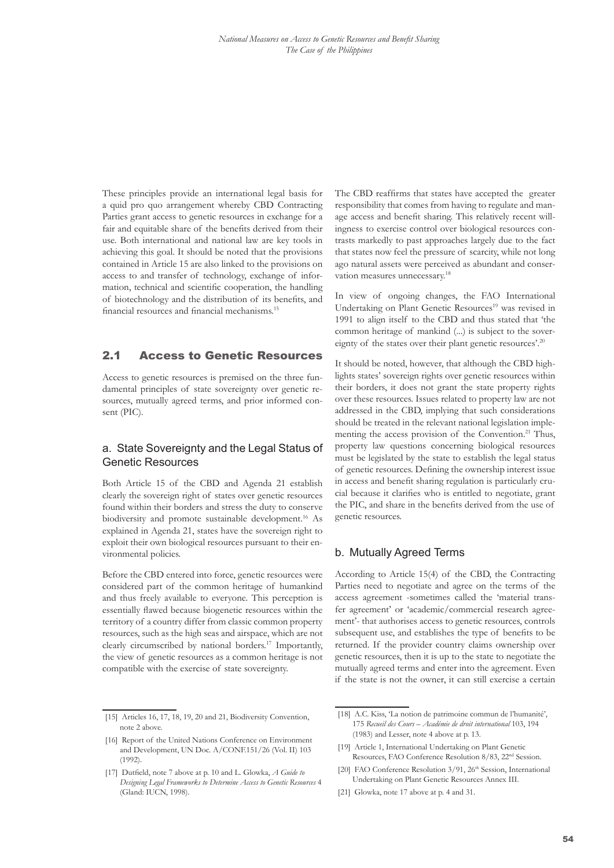<span id="page-6-0"></span>These principles provide an international legal basis for a quid pro quo arrangement whereby CBD Contracting Parties grant access to genetic resources in exchange for a fair and equitable share of the benefits derived from their use. Both international and national law are key tools in achieving this goal. It should be noted that the provisions contained in Article 15 are also linked to the provisions on access to and transfer of technology, exchange of information, technical and scientific cooperation, the handling of biotechnology and the distribution of its benefits, and financial resources and financial mechanisms.<sup>15</sup>

#### 2.1 Access to Genetic Resources

Access to genetic resources is premised on the three fundamental principles of state sovereignty over genetic resources, mutually agreed terms, and prior informed consent (PIC).

#### a. State Sovereignty and the Legal Status of Genetic Resources

Both Article 15 of the CBD and Agenda 21 establish clearly the sovereign right of states over genetic resources found within their borders and stress the duty to conserve biodiversity and promote sustainable development.<sup>16</sup> As explained in Agenda 21, states have the sovereign right to exploit their own biological resources pursuant to their environmental policies.

Before the CBD entered into force, genetic resources were considered part of the common heritage of humankind and thus freely available to everyone. This perception is essentially flawed because biogenetic resources within the territory of a country differ from classic common property resources, such as the high seas and airspace, which are not clearly circumscribed by national borders.17 Importantly, the view of genetic resources as a common heritage is not compatible with the exercise of state sovereignty.

The CBD reaffirms that states have accepted the greater responsibility that comes from having to regulate and manage access and benefit sharing. This relatively recent willingness to exercise control over biological resources contrasts markedly to past approaches largely due to the fact that states now feel the pressure of scarcity, while not long ago natural assets were perceived as abundant and conservation measures unnecessary.<sup>18</sup>

In view of ongoing changes, the FAO International Undertaking on Plant Genetic Resources<sup>19</sup> was revised in 1991 to align itself to the CBD and thus stated that 'the common heritage of mankind (...) is subject to the sovereignty of the states over their plant genetic resources'.<sup>20</sup>

It should be noted, however, that although the CBD highlights states' sovereign rights over genetic resources within their borders, it does not grant the state property rights over these resources. Issues related to property law are not addressed in the CBD, implying that such considerations should be treated in the relevant national legislation implementing the access provision of the Convention.<sup>21</sup> Thus, property law questions concerning biological resources must be legislated by the state to establish the legal status of genetic resources. Defining the ownership interest issue in access and benefit sharing regulation is particularly crucial because it clarifies who is entitled to negotiate, grant the PIC, and share in the benefits derived from the use of genetic resources.

#### b. Mutually Agreed Terms

According to Article 15(4) of the CBD, the Contracting Parties need to negotiate and agree on the terms of the access agreement -sometimes called the 'material transfer agreement' or 'academic/commercial research agreement'- that authorises access to genetic resources, controls subsequent use, and establishes the type of benefits to be returned. If the provider country claims ownership over genetic resources, then it is up to the state to negotiate the mutually agreed terms and enter into the agreement. Even if the state is not the owner, it can still exercise a certain

- [19] Article 1, International Undertaking on Plant Genetic Resources, FAO Conference Resolution 8/83, 22nd Session.
- [20] FAO Conference Resolution 3/91, 26<sup>th</sup> Session, International Undertaking on Plant Genetic Resources Annex III.
- [21] Glowka, note 17 above at p. 4 and 31.

<sup>[15]</sup> Articles 16, 17, 18, 19, 20 and 21, Biodiversity Convention, note 2 above.

<sup>[16]</sup> Report of the United Nations Conference on Environment and Development, UN Doc. A/CONF.151/26 (Vol. II) 103 (1992).

<sup>[17]</sup> Dutfield, note 7 above at p. 10 and L. Glowka, *A Guide to Designing Legal Frameworks to Determine Access to Genetic Resources* 4 (Gland: IUCN, 1998).

<sup>[18]</sup> A.C. Kiss, 'La notion de patrimoine commun de l'humanité', 175 *Recueil des Cours – Académie de droit international* 103, 194 (1983) and Lesser, note 4 above at p. 13.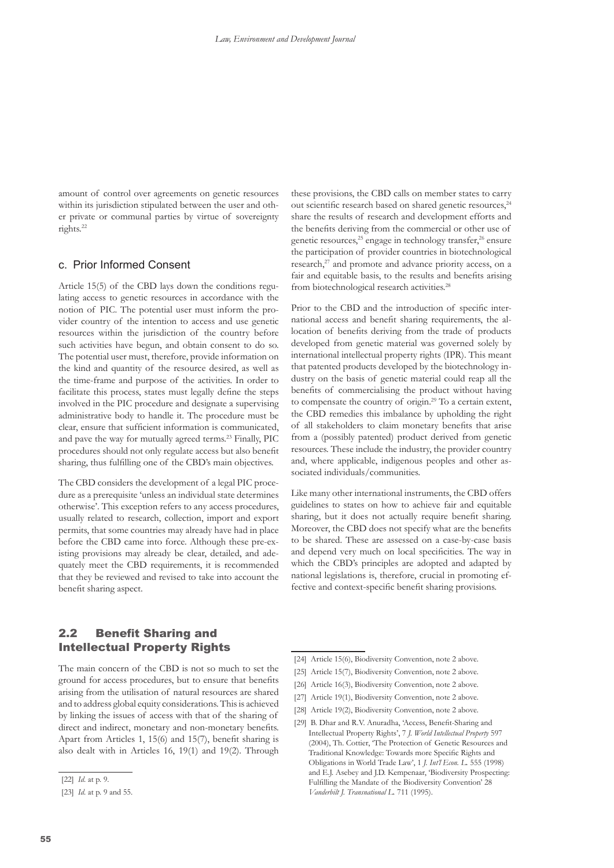<span id="page-7-0"></span>amount of control over agreements on genetic resources within its jurisdiction stipulated between the user and other private or communal parties by virtue of sovereignty rights.22

#### c. Prior Informed Consent

Article 15(5) of the CBD lays down the conditions regulating access to genetic resources in accordance with the notion of PIC. The potential user must inform the provider country of the intention to access and use genetic resources within the jurisdiction of the country before such activities have begun, and obtain consent to do so. The potential user must, therefore, provide information on the kind and quantity of the resource desired, as well as the time-frame and purpose of the activities. In order to facilitate this process, states must legally define the steps involved in the PIC procedure and designate a supervising administrative body to handle it. The procedure must be clear, ensure that sufficient information is communicated, and pave the way for mutually agreed terms.<sup>23</sup> Finally, PIC procedures should not only regulate access but also benefit sharing, thus fulfilling one of the CBD's main objectives.

The CBD considers the development of a legal PIC procedure as a prerequisite 'unless an individual state determines otherwise'. This exception refers to any access procedures, usually related to research, collection, import and export permits, that some countries may already have had in place before the CBD came into force. Although these pre-existing provisions may already be clear, detailed, and adequately meet the CBD requirements, it is recommended that they be reviewed and revised to take into account the benefit sharing aspect.

these provisions, the CBD calls on member states to carry out scientific research based on shared genetic resources,<sup>24</sup> share the results of research and development efforts and the benefits deriving from the commercial or other use of genetic resources,<sup>25</sup> engage in technology transfer,<sup>26</sup> ensure the participation of provider countries in biotechnological research,<sup>27</sup> and promote and advance priority access, on a fair and equitable basis, to the results and benefits arising from biotechnological research activities.<sup>28</sup>

Prior to the CBD and the introduction of specific international access and benefit sharing requirements, the allocation of benefits deriving from the trade of products developed from genetic material was governed solely by international intellectual property rights (IPR). This meant that patented products developed by the biotechnology industry on the basis of genetic material could reap all the benefits of commercialising the product without having to compensate the country of origin.29 To a certain extent, the CBD remedies this imbalance by upholding the right of all stakeholders to claim monetary benefits that arise from a (possibly patented) product derived from genetic resources. These include the industry, the provider country and, where applicable, indigenous peoples and other associated individuals/communities.

Like many other international instruments, the CBD offers guidelines to states on how to achieve fair and equitable sharing, but it does not actually require benefit sharing. Moreover, the CBD does not specify what are the benefits to be shared. These are assessed on a case-by-case basis and depend very much on local specificities. The way in which the CBD's principles are adopted and adapted by national legislations is, therefore, crucial in promoting effective and context-specific benefit sharing provisions.

#### 2.2 Benefit Sharing and Intellectual Property Rights

The main concern of the CBD is not so much to set the ground for access procedures, but to ensure that benefits arising from the utilisation of natural resources are shared and to address global equity considerations. This is achieved by linking the issues of access with that of the sharing of direct and indirect, monetary and non-monetary benefits. Apart from Articles 1, 15(6) and 15(7), benefit sharing is also dealt with in Articles 16, 19(1) and 19(2). Through

- [24] Article 15(6), Biodiversity Convention, note 2 above.
- [25] Article 15(7), Biodiversity Convention, note 2 above.
- [26] Article 16(3), Biodiversity Convention, note 2 above.
- [27] Article 19(1), Biodiversity Convention, note 2 above.
- [28] Article 19(2), Biodiversity Convention, note 2 above.
- [29] B. Dhar and R.V. Anuradha, 'Access, Benefit-Sharing and Intellectual Property Rights', 7 *J. World Intellectual Property* 597 (2004), Th. Cottier, 'The Protection of Genetic Resources and Traditional Knowledge: Towards more Specific Rights and Obligations in World Trade Law', 1 *J. Int'l Econ. L.* 555 (1998) and E.J. Asebey and J.D. Kempenaar, 'Biodiversity Prospecting: Fulfilling the Mandate of the Biodiversity Convention' 28 *Vanderbilt J. Transnational L.* 711 (1995).

<sup>[22]</sup> *Id.* at p. 9.

<sup>[23]</sup> *Id.* at p. 9 and 55.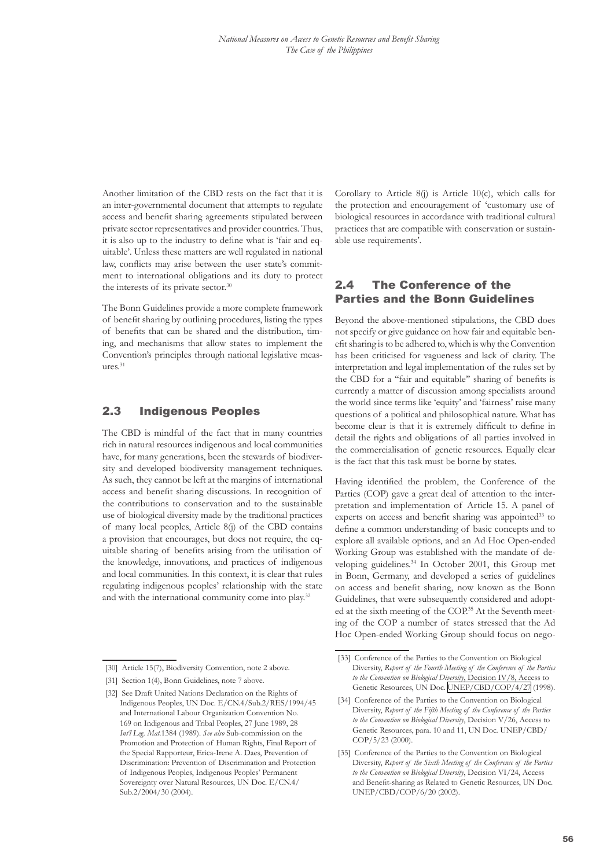<span id="page-8-0"></span>Another limitation of the CBD rests on the fact that it is an inter-governmental document that attempts to regulate access and benefit sharing agreements stipulated between private sector representatives and provider countries. Thus, it is also up to the industry to define what is 'fair and equitable'. Unless these matters are well regulated in national law, conflicts may arise between the user state's commitment to international obligations and its duty to protect the interests of its private sector.<sup>30</sup>

The Bonn Guidelines provide a more complete framework of benefit sharing by outlining procedures, listing the types of benefits that can be shared and the distribution, timing, and mechanisms that allow states to implement the Convention's principles through national legislative measures.31

#### 2.3 Indigenous Peoples

The CBD is mindful of the fact that in many countries rich in natural resources indigenous and local communities have, for many generations, been the stewards of biodiversity and developed biodiversity management techniques. As such, they cannot be left at the margins of international access and benefit sharing discussions. In recognition of the contributions to conservation and to the sustainable use of biological diversity made by the traditional practices of many local peoples, Article 8(j) of the CBD contains a provision that encourages, but does not require, the equitable sharing of benefits arising from the utilisation of the knowledge, innovations, and practices of indigenous and local communities. In this context, it is clear that rules regulating indigenous peoples' relationship with the state and with the international community come into play.<sup>32</sup>

Corollary to Article 8(j) is Article 10(c), which calls for the protection and encouragement of 'customary use of biological resources in accordance with traditional cultural practices that are compatible with conservation or sustainable use requirements'.

#### 2.4 The Conference of the Parties and the Bonn Guidelines

Beyond the above-mentioned stipulations, the CBD does not specify or give guidance on how fair and equitable benefit sharing is to be adhered to, which is why the Convention has been criticised for vagueness and lack of clarity. The interpretation and legal implementation of the rules set by the CBD for a ''fair and equitable'' sharing of benefits is currently a matter of discussion among specialists around the world since terms like 'equity' and 'fairness' raise many questions of a political and philosophical nature. What has become clear is that it is extremely difficult to define in detail the rights and obligations of all parties involved in the commercialisation of genetic resources. Equally clear is the fact that this task must be borne by states.

Having identified the problem, the Conference of the Parties (COP) gave a great deal of attention to the interpretation and implementation of Article 15. A panel of experts on access and benefit sharing was appointed<sup>33</sup> to define a common understanding of basic concepts and to explore all available options, and an Ad Hoc Open-ended Working Group was established with the mandate of developing guidelines.34 In October 2001, this Group met in Bonn, Germany, and developed a series of guidelines on access and benefit sharing, now known as the Bonn Guidelines, that were subsequently considered and adopted at the sixth meeting of the COP.<sup>35</sup> At the Seventh meeting of the COP a number of states stressed that the Ad Hoc Open-ended Working Group should focus on nego-

<sup>[30]</sup> Article 15(7), Biodiversity Convention, note 2 above.

<sup>[31]</sup> Section 1(4), Bonn Guidelines, note 7 above.

<sup>[32]</sup> See Draft United Nations Declaration on the Rights of Indigenous Peoples, UN Doc. E/CN.4/Sub.2/RES/1994/45 and International Labour Organization Convention No. 169 on Indigenous and Tribal Peoples, 27 June 1989, 28 *Int'l Leg. Mat.*1384 (1989). *See also* Sub-commission on the Promotion and Protection of Human Rights, Final Report of the Special Rapporteur, Erica-Irene A. Daes, Prevention of Discrimination: Prevention of Discrimination and Protection of Indigenous Peoples, Indigenous Peoples' Permanent Sovereignty over Natural Resources, UN Doc. E/CN.4/ Sub.2/2004/30 (2004).

<sup>[33]</sup> Conference of the Parties to the Convention on Biological Diversity, *Report of the Fourth Meeting of the Conference of the Parties to the Convention on Biological Diversity*, Decision IV/8, Access to Genetic Resources, UN Doc. [UNEP/CBD/COP/4/27](http://www.biodiv.org/doc/meetings/cop/cop-04/official/cop-04-27-en.pdf) (1998).

<sup>[34]</sup> Conference of the Parties to the Convention on Biological Diversity, *Report of the Fifth Meeting of the Conference of the Parties to the Convention on Biological Diversity*, Decision V/26, Access to Genetic Resources, para. 10 and 11, UN Doc. UNEP/CBD/ COP/5/23 (2000).

<sup>[35]</sup> Conference of the Parties to the Convention on Biological Diversity, *Report of the Sixth Meeting of the Conference of the Parties to the Convention on Biological Diversity*, Decision VI/24, Access and Benefit-sharing as Related to Genetic Resources, UN Doc. UNEP/CBD/COP/6/20 (2002).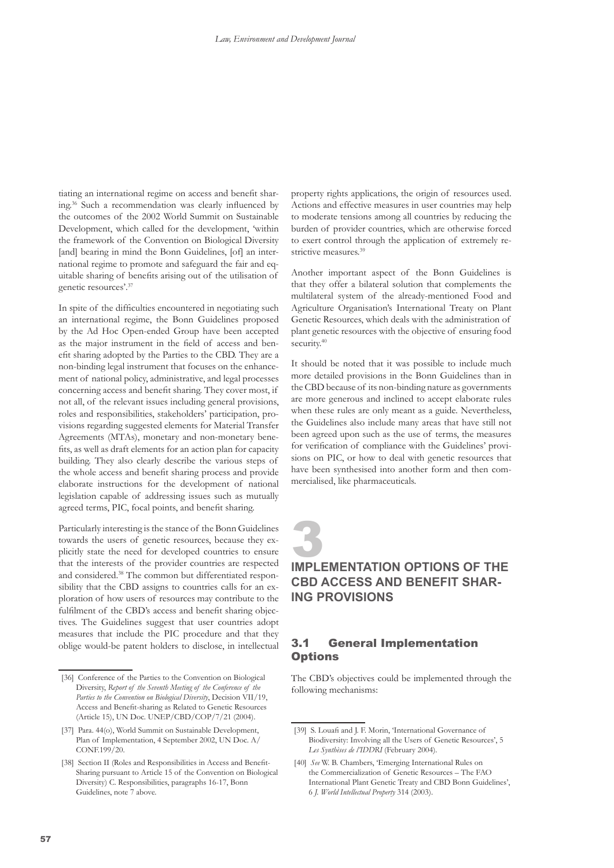<span id="page-9-0"></span>tiating an international regime on access and benefit sharing.36 Such a recommendation was clearly influenced by the outcomes of the 2002 World Summit on Sustainable Development, which called for the development, 'within the framework of the Convention on Biological Diversity [and] bearing in mind the Bonn Guidelines, [of] an international regime to promote and safeguard the fair and equitable sharing of benefits arising out of the utilisation of genetic resources'.37

In spite of the difficulties encountered in negotiating such an international regime, the Bonn Guidelines proposed by the Ad Hoc Open-ended Group have been accepted as the major instrument in the field of access and benefit sharing adopted by the Parties to the CBD. They are a non-binding legal instrument that focuses on the enhancement of national policy, administrative, and legal processes concerning access and benefit sharing. They cover most, if not all, of the relevant issues including general provisions, roles and responsibilities, stakeholders' participation, provisions regarding suggested elements for Material Transfer Agreements (MTAs), monetary and non-monetary benefits, as well as draft elements for an action plan for capacity building. They also clearly describe the various steps of the whole access and benefit sharing process and provide elaborate instructions for the development of national legislation capable of addressing issues such as mutually agreed terms, PIC, focal points, and benefit sharing.

Particularly interesting is the stance of the Bonn Guidelines towards the users of genetic resources, because they explicitly state the need for developed countries to ensure that the interests of the provider countries are respected and considered.38 The common but differentiated responsibility that the CBD assigns to countries calls for an exploration of how users of resources may contribute to the fulfilment of the CBD's access and benefit sharing objectives. The Guidelines suggest that user countries adopt measures that include the PIC procedure and that they oblige would-be patent holders to disclose, in intellectual property rights applications, the origin of resources used. Actions and effective measures in user countries may help to moderate tensions among all countries by reducing the burden of provider countries, which are otherwise forced to exert control through the application of extremely restrictive measures.<sup>39</sup>

Another important aspect of the Bonn Guidelines is that they offer a bilateral solution that complements the multilateral system of the already-mentioned Food and Agriculture Organisation's International Treaty on Plant Genetic Resources, which deals with the administration of plant genetic resources with the objective of ensuring food security.<sup>40</sup>

It should be noted that it was possible to include much more detailed provisions in the Bonn Guidelines than in the CBD because of its non-binding nature as governments are more generous and inclined to accept elaborate rules when these rules are only meant as a guide. Nevertheless, the Guidelines also include many areas that have still not been agreed upon such as the use of terms, the measures for verification of compliance with the Guidelines' provisions on PIC, or how to deal with genetic resources that have been synthesised into another form and then commercialised, like pharmaceuticals.

### **3**<br>IMPLEMENTATION OPTIONS OF THE **CBD Access and Benefit Sharing provisions**

#### 3.1 General Implementation **Options**

The CBD's objectives could be implemented through the following mechanisms:

<sup>[36]</sup> Conference of the Parties to the Convention on Biological Diversity, *Report of the Seventh Meeting of the Conference of the Parties to the Convention on Biological Diversity*, Decision VII/19, Access and Benefit-sharing as Related to Genetic Resources (Article 15), UN Doc. UNEP/CBD/COP/7/21 (2004).

<sup>[37]</sup> Para. 44(o), World Summit on Sustainable Development, Plan of Implementation, 4 September 2002, UN Doc. A/ CONF<sub>199</sub>/20.

<sup>[38]</sup> Section II (Roles and Responsibilities in Access and Benefit-Sharing pursuant to Article 15 of the Convention on Biological Diversity) C. Responsibilities, paragraphs 16-17, Bonn Guidelines, note 7 above.

<sup>[39]</sup> S. Louafi and J. F. Morin, 'International Governance of Biodiversity: Involving all the Users of Genetic Resources', 5 *Les Synthèses de l'IDDRI* (February 2004).

<sup>[40]</sup> *See* W. B. Chambers, 'Emerging International Rules on the Commercialization of Genetic Resources – The FAO International Plant Genetic Treaty and CBD Bonn Guidelines', 6 *J. World Intellectual Property* 314 (2003).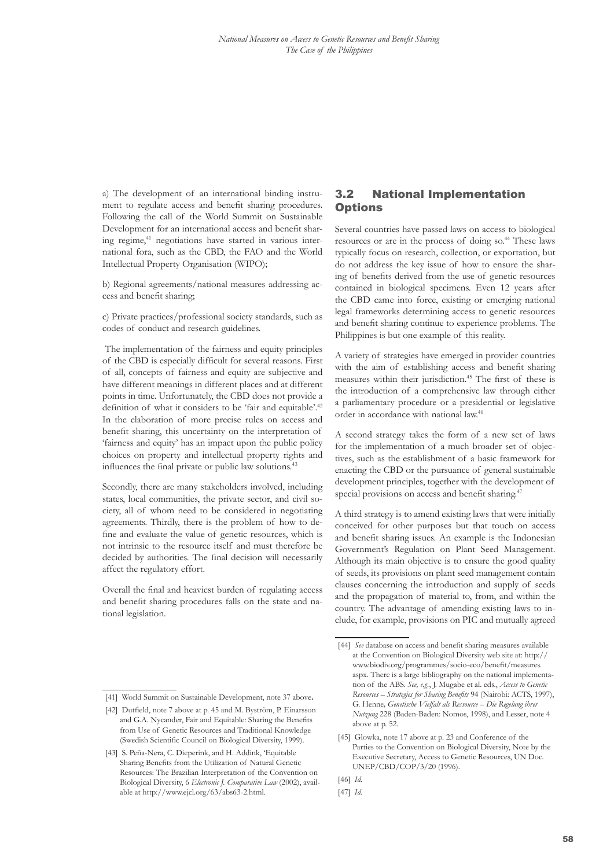<span id="page-10-0"></span>a) The development of an international binding instrument to regulate access and benefit sharing procedures. Following the call of the World Summit on Sustainable Development for an international access and benefit sharing regime,<sup>41</sup> negotiations have started in various international fora, such as the CBD, the FAO and the World Intellectual Property Organisation (WIPO);

b) Regional agreements/national measures addressing access and benefit sharing;

c) Private practices/professional society standards, such as codes of conduct and research guidelines.

 The implementation of the fairness and equity principles of the CBD is especially difficult for several reasons. First of all, concepts of fairness and equity are subjective and have different meanings in different places and at different points in time. Unfortunately, the CBD does not provide a definition of what it considers to be 'fair and equitable'.<sup>42</sup> In the elaboration of more precise rules on access and benefit sharing, this uncertainty on the interpretation of 'fairness and equity' has an impact upon the public policy choices on property and intellectual property rights and influences the final private or public law solutions.<sup>43</sup>

Secondly, there are many stakeholders involved, including states, local communities, the private sector, and civil society, all of whom need to be considered in negotiating agreements. Thirdly, there is the problem of how to define and evaluate the value of genetic resources, which is not intrinsic to the resource itself and must therefore be decided by authorities. The final decision will necessarily affect the regulatory effort.

Overall the final and heaviest burden of regulating access and benefit sharing procedures falls on the state and national legislation.

#### 3.2 National Implementation **Options**

Several countries have passed laws on access to biological resources or are in the process of doing so.44 These laws typically focus on research, collection, or exportation, but do not address the key issue of how to ensure the sharing of benefits derived from the use of genetic resources contained in biological specimens. Even 12 years after the CBD came into force, existing or emerging national legal frameworks determining access to genetic resources and benefit sharing continue to experience problems. The Philippines is but one example of this reality.

A variety of strategies have emerged in provider countries with the aim of establishing access and benefit sharing measures within their jurisdiction.45 The first of these is the introduction of a comprehensive law through either a parliamentary procedure or a presidential or legislative order in accordance with national law.46

A second strategy takes the form of a new set of laws for the implementation of a much broader set of objectives, such as the establishment of a basic framework for enacting the CBD or the pursuance of general sustainable development principles, together with the development of special provisions on access and benefit sharing.<sup>47</sup>

A third strategy is to amend existing laws that were initially conceived for other purposes but that touch on access and benefit sharing issues. An example is the Indonesian Government's Regulation on Plant Seed Management. Although its main objective is to ensure the good quality of seeds, its provisions on plant seed management contain clauses concerning the introduction and supply of seeds and the propagation of material to, from, and within the country. The advantage of amending existing laws to include, for example, provisions on PIC and mutually agreed

<sup>[44]</sup> *See* database on access and benefit sharing measures available at the Convention on Biological Diversity web site at: http:// www.biodiv.org/programmes/socio-eco/benefit/measures. aspx. There is a large bibliography on the national implementation of the ABS. *See, e.g.*, J. Mugabe et al. eds., *Access to Genetic Resources – Strategies for Sharing Benefits* 94 (Nairobi: ACTS, 1997), G. Henne*, Genetische Vielfalt als Ressource – Die Regelung ihrer Nutzung* 228 (Baden-Baden: Nomos, 1998), and Lesser, note 4 above at p. 52.

<sup>[45]</sup> Glowka, note 17 above at p. 23 and Conference of the Parties to the Convention on Biological Diversity, Note by the Executive Secretary, Access to Genetic Resources, UN Doc. UNEP/CBD/COP/3/20 (1996).

<sup>[46]</sup> *Id.*

<sup>[47]</sup> *Id.*

<sup>[41]</sup> World Summit on Sustainable Development, note 37 above**.**

<sup>[42]</sup> Dutfield, note 7 above at p. 45 and M. Byström, P. Einarsson and G.A. Nycander, Fair and Equitable: Sharing the Benefits from Use of Genetic Resources and Traditional Knowledge (Swedish Scientific Council on Biological Diversity, 1999).

<sup>[43]</sup> S. Peña-Nera, C. Dieperink, and H. Addink, 'Equitable Sharing Benefits from the Utilization of Natural Genetic Resources: The Brazilian Interpretation of the Convention on Biological Diversity, 6 *Electronic J. Comparative Law* (2002), available at http://www.ejcl.org/63/abs63-2.html.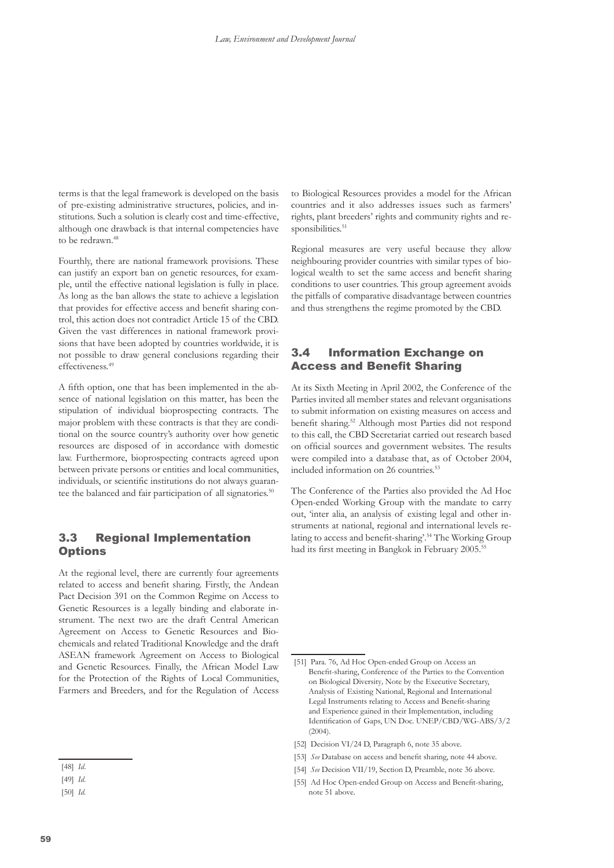<span id="page-11-0"></span>terms is that the legal framework is developed on the basis of pre-existing administrative structures, policies, and institutions. Such a solution is clearly cost and time-effective, although one drawback is that internal competencies have to be redrawn.<sup>48</sup>

Fourthly, there are national framework provisions. These can justify an export ban on genetic resources, for example, until the effective national legislation is fully in place. As long as the ban allows the state to achieve a legislation that provides for effective access and benefit sharing control, this action does not contradict Article 15 of the CBD. Given the vast differences in national framework provisions that have been adopted by countries worldwide, it is not possible to draw general conclusions regarding their effectiveness.49

A fifth option, one that has been implemented in the absence of national legislation on this matter, has been the stipulation of individual bioprospecting contracts. The major problem with these contracts is that they are conditional on the source country's authority over how genetic resources are disposed of in accordance with domestic law. Furthermore, bioprospecting contracts agreed upon between private persons or entities and local communities, individuals, or scientific institutions do not always guarantee the balanced and fair participation of all signatories.<sup>50</sup>

#### 3.3 Regional Implementation **Options**

At the regional level, there are currently four agreements related to access and benefit sharing. Firstly, the Andean Pact Decision 391 on the Common Regime on Access to Genetic Resources is a legally binding and elaborate instrument. The next two are the draft Central American Agreement on Access to Genetic Resources and Biochemicals and related Traditional Knowledge and the draft ASEAN framework Agreement on Access to Biological and Genetic Resources. Finally, the African Model Law for the Protection of the Rights of Local Communities, Farmers and Breeders, and for the Regulation of Access

to Biological Resources provides a model for the African countries and it also addresses issues such as farmers' rights, plant breeders' rights and community rights and responsibilities.<sup>51</sup>

Regional measures are very useful because they allow neighbouring provider countries with similar types of biological wealth to set the same access and benefit sharing conditions to user countries. This group agreement avoids the pitfalls of comparative disadvantage between countries and thus strengthens the regime promoted by the CBD.

#### 3.4 Information Exchange on Access and Benefit Sharing

At its Sixth Meeting in April 2002, the Conference of the Parties invited all member states and relevant organisations to submit information on existing measures on access and benefit sharing.52 Although most Parties did not respond to this call, the CBD Secretariat carried out research based on official sources and government websites. The results were compiled into a database that, as of October 2004, included information on 26 countries.<sup>53</sup>

The Conference of the Parties also provided the Ad Hoc Open-ended Working Group with the mandate to carry out, 'inter alia, an analysis of existing legal and other instruments at national, regional and international levels relating to access and benefit-sharing'.54 The Working Group had its first meeting in Bangkok in February 2005.<sup>55</sup>

<sup>[48]</sup> *Id*.

<sup>[49]</sup> *Id.*

<sup>[50]</sup> *Id.*

<sup>[51]</sup> Para. 76, Ad Hoc Open-ended Group on Access an Benefit-sharing, Conference of the Parties to the Convention on Biological Diversity*,* Note by the Executive Secretary, Analysis of Existing National, Regional and International Legal Instruments relating to Access and Benefit-sharing and Experience gained in their Implementation, including Identification of Gaps, UN Doc. UNEP/CBD/WG-ABS/3/2  $(2004)$ 

<sup>[52]</sup> Decision VI/24 D, Paragraph 6, note 35 above.

<sup>[53]</sup> *See* Database on access and benefit sharing, note 44 above.

<sup>[54]</sup> *See* Decision VII/19, Section D, Preamble, note 36 above.

<sup>[55]</sup> Ad Hoc Open-ended Group on Access and Benefit-sharing, note 51 above.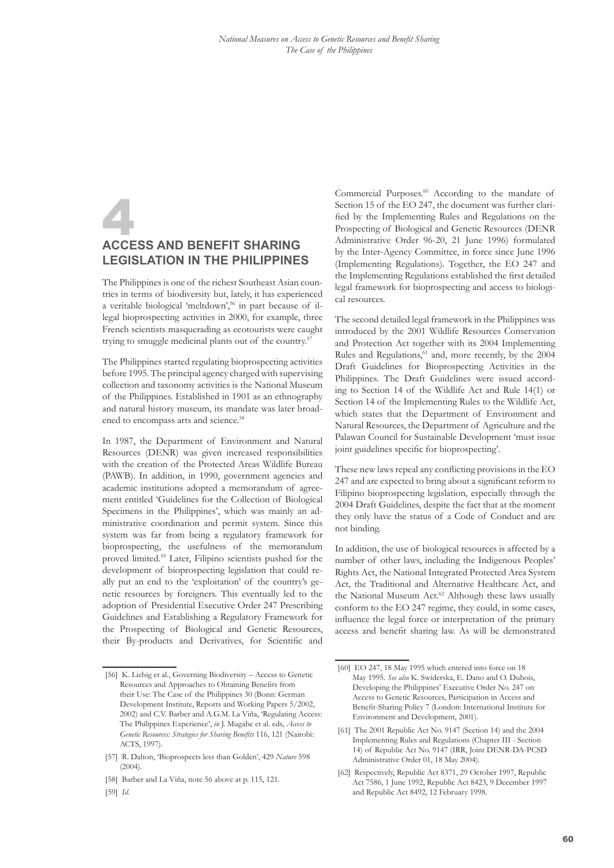### <span id="page-12-0"></span>**AccESS AND BENEFIT SHARI legislation in the Philippines**

The Philippines is one of the richest Southeast Asian countries in terms of biodiversity but, lately, it has experienced a veritable biological 'meltdown',56 in part because of illegal bioprospecting activities in 2000, for example, three French scientists masquerading as ecotourists were caught trying to smuggle medicinal plants out of the country.<sup>57</sup>

The Philippines started regulating bioprospecting activities before 1995. The principal agency charged with supervising collection and taxonomy activities is the National Museum of the Philippines. Established in 1901 as an ethnography and natural history museum, its mandate was later broadened to encompass arts and science.<sup>58</sup>

In 1987, the Department of Environment and Natural Resources (DENR) was given increased responsibilities with the creation of the Protected Areas Wildlife Bureau (PAWB). In addition, in 1990, government agencies and academic institutions adopted a memorandum of agreement entitled 'Guidelines for the Collection of Biological Specimens in the Philippines', which was mainly an administrative coordination and permit system. Since this system was far from being a regulatory framework for bioprospecting, the usefulness of the memorandum proved limited.59 Later, Filipino scientists pushed for the development of bioprospecting legislation that could really put an end to the 'exploitation' of the country's genetic resources by foreigners. This eventually led to the adoption of Presidential Executive Order 247 Prescribing Guidelines and Establishing a Regulatory Framework for the Prospecting of Biological and Genetic Resources, their By-products and Derivatives, for Scientific and

Commercial Purposes.<sup>60</sup> According to the mandate of Section 15 of the EO 247, the document was further clarified by the Implementing Rules and Regulations on the Prospecting of Biological and Genetic Resources (DENR Administrative Order 96-20, 21 June 1996) formulated by the Inter-Agency Committee, in force since June 1996 (Implementing Regulations). Together, the EO 247 and the Implementing Regulations established the first detailed legal framework for bioprospecting and access to biological resources.

The second detailed legal framework in the Philippines was introduced by the 2001 Wildlife Resources Conservation and Protection Act together with its 2004 Implementing Rules and Regulations,<sup>61</sup> and, more recently, by the 2004 Draft Guidelines for Bioprospecting Activities in the Philippines. The Draft Guidelines were issued according to Section 14 of the Wildlife Act and Rule 14(1) or Section 14 of the Implementing Rules to the Wildlife Act, which states that the Department of Environment and Natural Resources, the Department of Agriculture and the Palawan Council for Sustainable Development 'must issue joint guidelines specific for bioprospecting'.

These new laws repeal any conflicting provisions in the EO 247 and are expected to bring about a significant reform to Filipino bioprospecting legislation, especially through the 2004 Draft Guidelines, despite the fact that at the moment they only have the status of a Code of Conduct and are not binding.

In addition, the use of biological resources is affected by a number of other laws, including the Indigenous Peoples' Rights Act, the National Integrated Protected Area System Act, the Traditional and Alternative Healthcare Act, and the National Museum Act.<sup>62</sup> Although these laws usually conform to the EO 247 regime, they could, in some cases, influence the legal force or interpretation of the primary access and benefit sharing law. As will be demonstrated

- [61] The 2001 Republic Act No. 9147 (Section 14) and the 2004 Implementing Rules and Regulations (Chapter III - Section 14) of Republic Act No. 9147 (IRR, Joint DENR-DA-PCSD Administrative Order 01, 18 May 2004).
- [62] Respectively, Republic Act 8371, 29 October 1997, Republic Act 7586, 1 June 1992, Republic Act 8423, 9 December 1997 and Republic Act 8492, 12 February 1998.

<sup>[56]</sup> K. Liebig et al., Governing Biodiversity – Access to Genetic Resources and Approaches to Obtaining Benefits from their Use: The Case of the Philippines 30 (Bonn: German Development Institute, Reports and Working Papers 5/2002, 2002) and C.V. Barber and A.G.M. La Viña, 'Regulating Access: The Philippines Experience', *in* J. Mugabe et al. eds, *Access to Genetic Resources: Strategies for Sharing Benefits* 116, 121 (Nairobi: ACTS, 1997).

<sup>[57]</sup> R. Dalton, 'Bioprospects less than Golden', 429 *Nature* 598  $(2004)$ 

<sup>[58]</sup> Barber and La Viña, note 56 above at p. 115, 121.

<sup>[59]</sup> *Id.*

<sup>[60]</sup> EO 247, 18 May 1995 which entered into force on 18 May 1995. *See also* K. Swiderska, E. Dano and O. Dubois, Developing the Philippines' Executive Order No. 247 on Access to Genetic Resources, Participation in Access and Benefit-Sharing Policy 7 (London: International Institute for Environment and Development, 2001).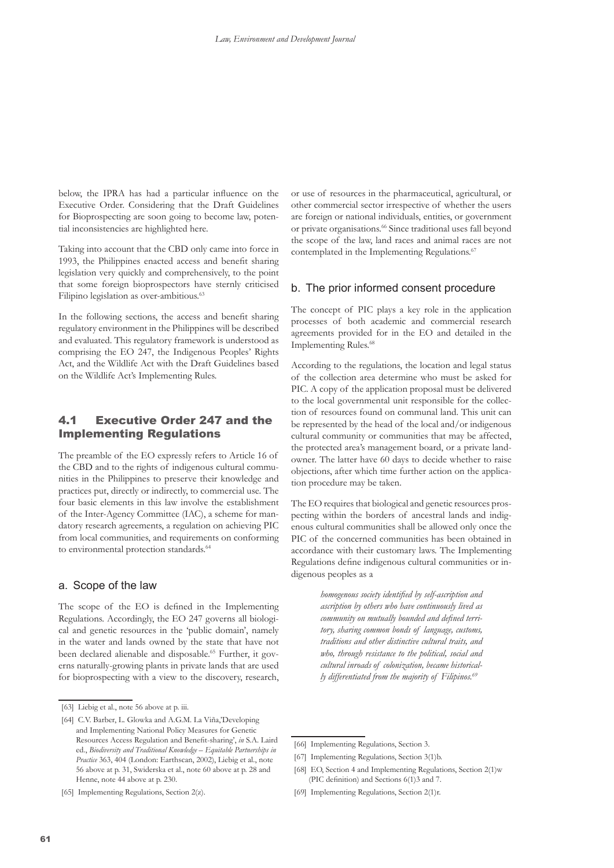<span id="page-13-0"></span>below, the IPRA has had a particular influence on the Executive Order. Considering that the Draft Guidelines for Bioprospecting are soon going to become law, potential inconsistencies are highlighted here.

Taking into account that the CBD only came into force in 1993, the Philippines enacted access and benefit sharing legislation very quickly and comprehensively, to the point that some foreign bioprospectors have sternly criticised Filipino legislation as over-ambitious.<sup>63</sup>

In the following sections, the access and benefit sharing regulatory environment in the Philippines will be described and evaluated. This regulatory framework is understood as comprising the EO 247, the Indigenous Peoples' Rights Act, and the Wildlife Act with the Draft Guidelines based on the Wildlife Act's Implementing Rules.

#### 4.1 Executive Order 247 and the Implementing Regulations

The preamble of the EO expressly refers to Article 16 of the CBD and to the rights of indigenous cultural communities in the Philippines to preserve their knowledge and practices put, directly or indirectly, to commercial use. The four basic elements in this law involve the establishment of the Inter-Agency Committee (IAC), a scheme for mandatory research agreements, a regulation on achieving PIC from local communities, and requirements on conforming to environmental protection standards.<sup>64</sup>

#### a. Scope of the law

The scope of the EO is defined in the Implementing Regulations. Accordingly, the EO 247 governs all biological and genetic resources in the 'public domain', namely in the water and lands owned by the state that have not been declared alienable and disposable.<sup>65</sup> Further, it governs naturally-growing plants in private lands that are used for bioprospecting with a view to the discovery, research,

[65] Implementing Regulations, Section 2(z).

or use of resources in the pharmaceutical, agricultural, or other commercial sector irrespective of whether the users are foreign or national individuals, entities, or government or private organisations.<sup>66</sup> Since traditional uses fall beyond the scope of the law, land races and animal races are not contemplated in the Implementing Regulations.<sup>67</sup>

#### b. The prior informed consent procedure

The concept of PIC plays a key role in the application processes of both academic and commercial research agreements provided for in the EO and detailed in the Implementing Rules.<sup>68</sup>

According to the regulations, the location and legal status of the collection area determine who must be asked for PIC. A copy of the application proposal must be delivered to the local governmental unit responsible for the collection of resources found on communal land. This unit can be represented by the head of the local and/or indigenous cultural community or communities that may be affected, the protected area's management board, or a private landowner. The latter have 60 days to decide whether to raise objections, after which time further action on the application procedure may be taken.

The EO requires that biological and genetic resources prospecting within the borders of ancestral lands and indigenous cultural communities shall be allowed only once the PIC of the concerned communities has been obtained in accordance with their customary laws. The Implementing Regulations define indigenous cultural communities or indigenous peoples as a

> *homogenous society identified by self-ascription and ascription by others who have continuously lived as community on mutually bounded and defined territory, sharing common bonds of language, customs, traditions and other distinctive cultural traits, and who, through resistance to the political, social and cultural inroads of colonization, became historically differentiated from the majority of Filipinos.69*

<sup>[63]</sup> Liebig et al., note 56 above at p. iii.

<sup>[64]</sup> C.V. Barber, L. Glowka and A.G.M. La Viña,'Developing and Implementing National Policy Measures for Genetic Resources Access Regulation and Benefit-sharing', *in* S.A. Laird ed., *Biodiversity and Traditional Knowledge – Equitable Partnerships in Practice* 363, 404 (London: Earthscan, 2002), Liebig et al., note 56 above at p. 31, Swiderska et al., note 60 above at p. 28 and Henne, note 44 above at p. 230.

<sup>[66]</sup> Implementing Regulations, Section 3.

<sup>[67]</sup> Implementing Regulations, Section 3(1)b.

<sup>[68]</sup> EO, Section 4 and Implementing Regulations, Section 2(1)w (PIC definition) and Sections 6(1)3 and 7.

<sup>[69]</sup> Implementing Regulations, Section 2(1)r.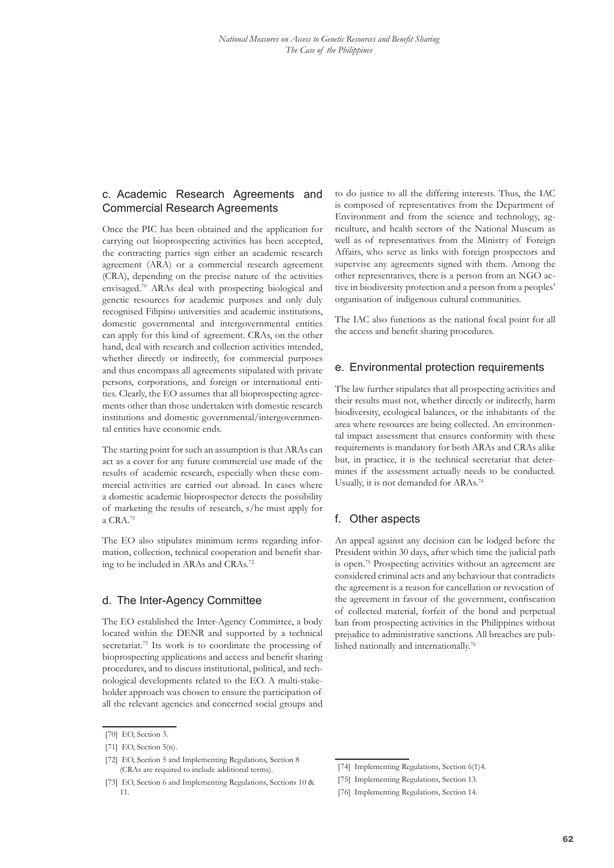#### c. Academic Research Agreements and Commercial Research Agreements

Once the PIC has been obtained and the application for carrying out bioprospecting activities has been accepted, the contracting parties sign either an academic research agreement (ARA) or a commercial research agreement (CRA), depending on the precise nature of the activities envisaged.70 ARAs deal with prospecting biological and genetic resources for academic purposes and only duly recognised Filipino universities and academic institutions, domestic governmental and intergovernmental entities can apply for this kind of agreement. CRAs, on the other hand, deal with research and collection activities intended, whether directly or indirectly, for commercial purposes and thus encompass all agreements stipulated with private persons, corporations, and foreign or international entities. Clearly, the EO assumes that all bioprospecting agreements other than those undertaken with domestic research institutions and domestic governmental/intergovernmental entities have economic ends.

The starting point for such an assumption is that ARAs can act as a cover for any future commercial use made of the results of academic research, especially when these commercial activities are carried out abroad. In cases where a domestic academic bioprospector detects the possibility of marketing the results of research, s/he must apply for a CRA.<sup>71</sup>

The EO also stipulates minimum terms regarding information, collection, technical cooperation and benefit sharing to be included in ARAs and CRAs.<sup>72</sup>

#### d. The Inter-Agency Committee

The EO established the Inter-Agency Committee, a body located within the DENR and supported by a technical secretariat.73 Its work is to coordinate the processing of bioprospecting applications and access and benefit sharing procedures, and to discuss institutional, political, and technological developments related to the EO. A multi-stakeholder approach was chosen to ensure the participation of all the relevant agencies and concerned social groups and

to do justice to all the differing interests. Thus, the IAC is composed of representatives from the Department of Environment and from the science and technology, agriculture, and health sectors of the National Museum as well as of representatives from the Ministry of Foreign Affairs, who serve as links with foreign prospectors and supervise any agreements signed with them. Among the other representatives, there is a person from an NGO active in biodiversity protection and a person from a peoples' organisation of indigenous cultural communities.

The IAC also functions as the national focal point for all the access and benefit sharing procedures.

#### e. Environmental protection requirements

The law further stipulates that all prospecting activities and their results must not, whether directly or indirectly, harm biodiversity, ecological balances, or the inhabitants of the area where resources are being collected. An environmental impact assessment that ensures conformity with these requirements is mandatory for both ARAs and CRAs alike but, in practice, it is the technical secretariat that determines if the assessment actually needs to be conducted. Usually, it is not demanded for ARAs.74

#### f. Other aspects

An appeal against any decision can be lodged before the President within 30 days, after which time the judicial path is open.75 Prospecting activities without an agreement are considered criminal acts and any behaviour that contradicts the agreement is a reason for cancellation or revocation of the agreement in favour of the government, confiscation of collected material, forfeit of the bond and perpetual ban from prospecting activities in the Philippines without prejudice to administrative sanctions. All breaches are published nationally and internationally.76

<sup>[70]</sup> EO, Section 3.

<sup>[71]</sup> EO, Section 5(n).

<sup>[72]</sup> EO, Section 5 and Implementing Regulations, Section 8 (CRAs are required to include additional terms).

<sup>[73]</sup> EO, Section 6 and Implementing Regulations, Sections 10 & 11.

<sup>[74]</sup> Implementing Regulations, Section 6(1)4.

<sup>[75]</sup> Implementing Regulations, Section 13.

<sup>[76]</sup> Implementing Regulations, Section 14.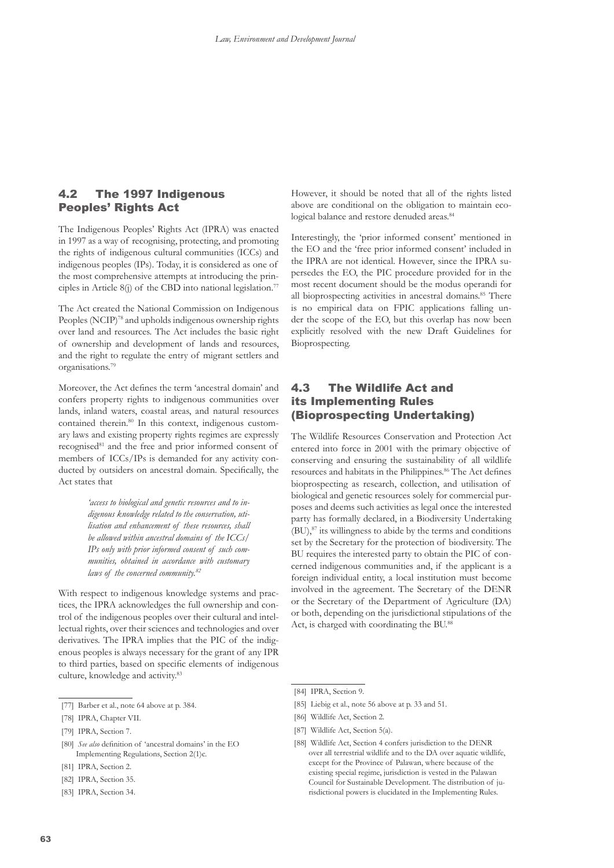#### <span id="page-15-0"></span>4.2 The 1997 Indigenous Peoples' Rights Act

The Indigenous Peoples' Rights Act (IPRA) was enacted in 1997 as a way of recognising, protecting, and promoting the rights of indigenous cultural communities (ICCs) and indigenous peoples (IPs). Today, it is considered as one of the most comprehensive attempts at introducing the principles in Article 8(j) of the CBD into national legislation.<sup>77</sup>

The Act created the National Commission on Indigenous Peoples (NCIP)<sup>78</sup> and upholds indigenous ownership rights over land and resources. The Act includes the basic right of ownership and development of lands and resources, and the right to regulate the entry of migrant settlers and organisations.79

Moreover, the Act defines the term 'ancestral domain' and confers property rights to indigenous communities over lands, inland waters, coastal areas, and natural resources contained therein.80 In this context, indigenous customary laws and existing property rights regimes are expressly recognised<sup>81</sup> and the free and prior informed consent of members of ICCs/IPs is demanded for any activity conducted by outsiders on ancestral domain. Specifically, the Act states that

> *'access to biological and genetic resources and to indigenous knowledge related to the conservation, utilisation and enhancement of these resources, shall be allowed within ancestral domains of the ICCs/ IPs only with prior informed consent of such communities, obtained in accordance with customary laws of the concerned community.82*

With respect to indigenous knowledge systems and practices, the IPRA acknowledges the full ownership and control of the indigenous peoples over their cultural and intellectual rights, over their sciences and technologies and over derivatives. The IPRA implies that the PIC of the indigenous peoples is always necessary for the grant of any IPR to third parties, based on specific elements of indigenous culture, knowledge and activity.83

- [82] IPRA, Section 35.
- [83] IPRA, Section 34.

However, it should be noted that all of the rights listed above are conditional on the obligation to maintain ecological balance and restore denuded areas.<sup>84</sup>

Interestingly, the 'prior informed consent' mentioned in the EO and the 'free prior informed consent' included in the IPRA are not identical. However, since the IPRA supersedes the EO, the PIC procedure provided for in the most recent document should be the modus operandi for all bioprospecting activities in ancestral domains.<sup>85</sup> There is no empirical data on FPIC applications falling under the scope of the EO, but this overlap has now been explicitly resolved with the new Draft Guidelines for Bioprospecting.

#### 4.3 The Wildlife Act and its Implementing Rules (Bioprospecting Undertaking)

The Wildlife Resources Conservation and Protection Act entered into force in 2001 with the primary objective of conserving and ensuring the sustainability of all wildlife resources and habitats in the Philippines.<sup>86</sup> The Act defines bioprospecting as research, collection, and utilisation of biological and genetic resources solely for commercial purposes and deems such activities as legal once the interested party has formally declared, in a Biodiversity Undertaking  $(BU)$ ,  $87$  its willingness to abide by the terms and conditions set by the Secretary for the protection of biodiversity. The BU requires the interested party to obtain the PIC of concerned indigenous communities and, if the applicant is a foreign individual entity, a local institution must become involved in the agreement. The Secretary of the DENR or the Secretary of the Department of Agriculture (DA) or both, depending on the jurisdictional stipulations of the Act, is charged with coordinating the BU.88

- [87] Wildlife Act, Section 5(a).
- [88] Wildlife Act, Section 4 confers jurisdiction to the DENR over all terrestrial wildlife and to the DA over aquatic wildlife, except for the Province of Palawan, where because of the existing special regime, jurisdiction is vested in the Palawan Council for Sustainable Development. The distribution of jurisdictional powers is elucidated in the Implementing Rules.

<sup>[77]</sup> Barber et al., note 64 above at p. 384.

<sup>[78]</sup> IPRA, Chapter VII.

<sup>[79]</sup> IPRA, Section 7.

<sup>[80]</sup> *See also* definition of 'ancestral domains' in the EO Implementing Regulations, Section 2(1)c.

<sup>[81]</sup> IPRA, Section 2.

<sup>[84]</sup> IPRA, Section 9.

<sup>[85]</sup> Liebig et al., note 56 above at p. 33 and 51.

<sup>[86]</sup> Wildlife Act, Section 2.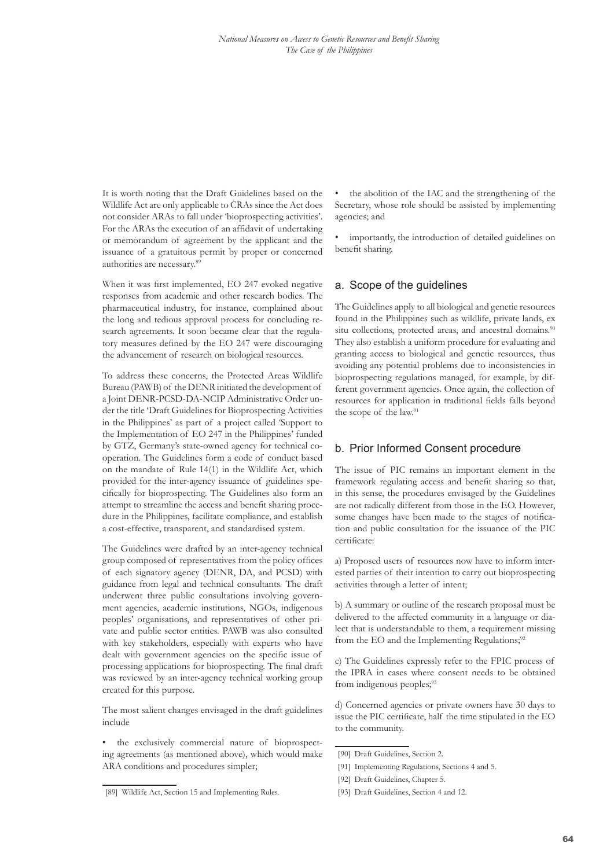It is worth noting that the Draft Guidelines based on the Wildlife Act are only applicable to CRAs since the Act does not consider ARAs to fall under 'bioprospecting activities'. For the ARAs the execution of an affidavit of undertaking or memorandum of agreement by the applicant and the issuance of a gratuitous permit by proper or concerned authorities are necessary.<sup>89</sup>

When it was first implemented, EO 247 evoked negative responses from academic and other research bodies. The pharmaceutical industry, for instance, complained about the long and tedious approval process for concluding research agreements. It soon became clear that the regulatory measures defined by the EO 247 were discouraging the advancement of research on biological resources.

To address these concerns, the Protected Areas Wildlife Bureau (PAWB) of the DENR initiated the development of a Joint DENR-PCSD-DA-NCIP Administrative Order under the title 'Draft Guidelines for Bioprospecting Activities in the Philippines' as part of a project called 'Support to the Implementation of EO 247 in the Philippines' funded by GTZ, Germany's state-owned agency for technical cooperation. The Guidelines form a code of conduct based on the mandate of Rule 14(1) in the Wildlife Act, which provided for the inter-agency issuance of guidelines specifically for bioprospecting. The Guidelines also form an attempt to streamline the access and benefit sharing procedure in the Philippines, facilitate compliance, and establish a cost-effective, transparent, and standardised system.

The Guidelines were drafted by an inter-agency technical group composed of representatives from the policy offices of each signatory agency (DENR, DA, and PCSD) with guidance from legal and technical consultants. The draft underwent three public consultations involving government agencies, academic institutions, NGOs, indigenous peoples' organisations, and representatives of other private and public sector entities. PAWB was also consulted with key stakeholders, especially with experts who have dealt with government agencies on the specific issue of processing applications for bioprospecting. The final draft was reviewed by an inter-agency technical working group created for this purpose.

The most salient changes envisaged in the draft guidelines include

the exclusively commercial nature of bioprospecting agreements (as mentioned above), which would make ARA conditions and procedures simpler;

• the abolition of the IAC and the strengthening of the Secretary, whose role should be assisted by implementing agencies; and

importantly, the introduction of detailed guidelines on benefit sharing.

#### a. Scope of the guidelines

The Guidelines apply to all biological and genetic resources found in the Philippines such as wildlife, private lands, ex situ collections, protected areas, and ancestral domains.<sup>90</sup> They also establish a uniform procedure for evaluating and granting access to biological and genetic resources, thus avoiding any potential problems due to inconsistencies in bioprospecting regulations managed, for example, by different government agencies. Once again, the collection of resources for application in traditional fields falls beyond the scope of the law.<sup>91</sup>

#### b. Prior Informed Consent procedure

The issue of PIC remains an important element in the framework regulating access and benefit sharing so that, in this sense, the procedures envisaged by the Guidelines are not radically different from those in the EO. However, some changes have been made to the stages of notification and public consultation for the issuance of the PIC certificate:

a) Proposed users of resources now have to inform interested parties of their intention to carry out bioprospecting activities through a letter of intent;

b) A summary or outline of the research proposal must be delivered to the affected community in a language or dialect that is understandable to them, a requirement missing from the EO and the Implementing Regulations; $32$ 

c) The Guidelines expressly refer to the FPIC process of the IPRA in cases where consent needs to be obtained from indigenous peoples;<sup>93</sup>

d) Concerned agencies or private owners have 30 days to issue the PIC certificate, half the time stipulated in the EO to the community.

<sup>[89]</sup> Wildlife Act, Section 15 and Implementing Rules.

<sup>[90]</sup> Draft Guidelines, Section 2.

<sup>[91]</sup> Implementing Regulations, Sections 4 and 5.

<sup>[92]</sup> Draft Guidelines, Chapter 5.

<sup>[93]</sup> Draft Guidelines, Section 4 and 12.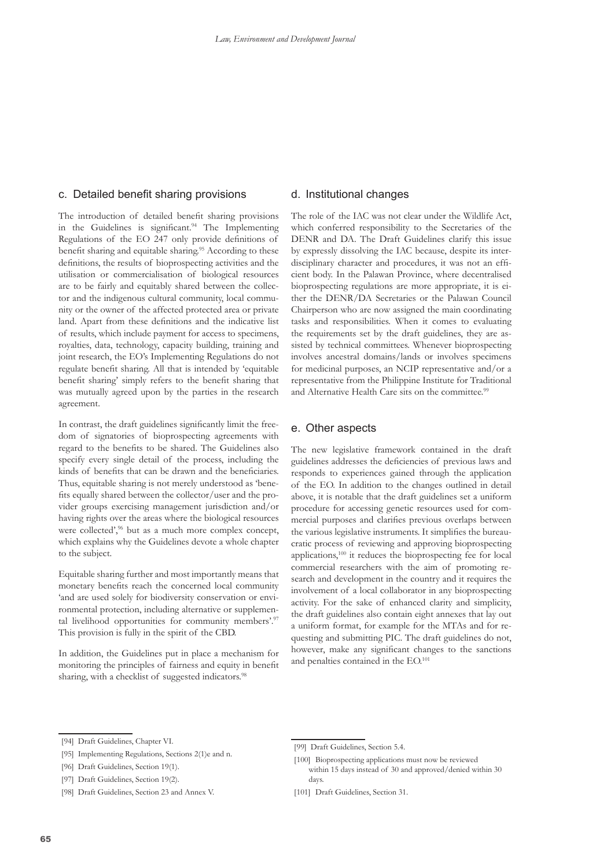#### c. Detailed benefit sharing provisions

The introduction of detailed benefit sharing provisions in the Guidelines is significant.<sup>94</sup> The Implementing Regulations of the EO 247 only provide definitions of benefit sharing and equitable sharing.<sup>95</sup> According to these definitions, the results of bioprospecting activities and the utilisation or commercialisation of biological resources are to be fairly and equitably shared between the collector and the indigenous cultural community, local community or the owner of the affected protected area or private land. Apart from these definitions and the indicative list of results, which include payment for access to specimens, royalties, data, technology, capacity building, training and joint research, the EO's Implementing Regulations do not regulate benefit sharing. All that is intended by 'equitable benefit sharing' simply refers to the benefit sharing that was mutually agreed upon by the parties in the research agreement.

In contrast, the draft guidelines significantly limit the freedom of signatories of bioprospecting agreements with regard to the benefits to be shared. The Guidelines also specify every single detail of the process, including the kinds of benefits that can be drawn and the beneficiaries. Thus, equitable sharing is not merely understood as 'benefits equally shared between the collector/user and the provider groups exercising management jurisdiction and/or having rights over the areas where the biological resources were collected',<sup>96</sup> but as a much more complex concept, which explains why the Guidelines devote a whole chapter to the subject.

Equitable sharing further and most importantly means that monetary benefits reach the concerned local community 'and are used solely for biodiversity conservation or environmental protection, including alternative or supplemental livelihood opportunities for community members'.97 This provision is fully in the spirit of the CBD.

In addition, the Guidelines put in place a mechanism for monitoring the principles of fairness and equity in benefit sharing, with a checklist of suggested indicators.<sup>98</sup>

#### d. Institutional changes

The role of the IAC was not clear under the Wildlife Act, which conferred responsibility to the Secretaries of the DENR and DA. The Draft Guidelines clarify this issue by expressly dissolving the IAC because, despite its interdisciplinary character and procedures, it was not an efficient body. In the Palawan Province, where decentralised bioprospecting regulations are more appropriate, it is either the DENR/DA Secretaries or the Palawan Council Chairperson who are now assigned the main coordinating tasks and responsibilities. When it comes to evaluating the requirements set by the draft guidelines, they are assisted by technical committees. Whenever bioprospecting involves ancestral domains/lands or involves specimens for medicinal purposes, an NCIP representative and/or a representative from the Philippine Institute for Traditional and Alternative Health Care sits on the committee.<sup>99</sup>

#### e. Other aspects

The new legislative framework contained in the draft guidelines addresses the deficiencies of previous laws and responds to experiences gained through the application of the EO. In addition to the changes outlined in detail above, it is notable that the draft guidelines set a uniform procedure for accessing genetic resources used for commercial purposes and clarifies previous overlaps between the various legislative instruments. It simplifies the bureaucratic process of reviewing and approving bioprospecting applications,100 it reduces the bioprospecting fee for local commercial researchers with the aim of promoting research and development in the country and it requires the involvement of a local collaborator in any bioprospecting activity. For the sake of enhanced clarity and simplicity, the draft guidelines also contain eight annexes that lay out a uniform format, for example for the MTAs and for requesting and submitting PIC. The draft guidelines do not, however, make any significant changes to the sanctions and penalties contained in the EO.101

<sup>[94]</sup> Draft Guidelines, Chapter VI.

<sup>[95]</sup> Implementing Regulations, Sections 2(1)e and n.

<sup>[96]</sup> Draft Guidelines, Section 19(1).

<sup>[97]</sup> Draft Guidelines, Section 19(2).

<sup>[98]</sup> Draft Guidelines, Section 23 and Annex V.

<sup>[99]</sup> Draft Guidelines, Section 5.4.

<sup>[100]</sup> Bioprospecting applications must now be reviewed within 15 days instead of 30 and approved/denied within 30 days.

<sup>[101]</sup> Draft Guidelines, Section 31.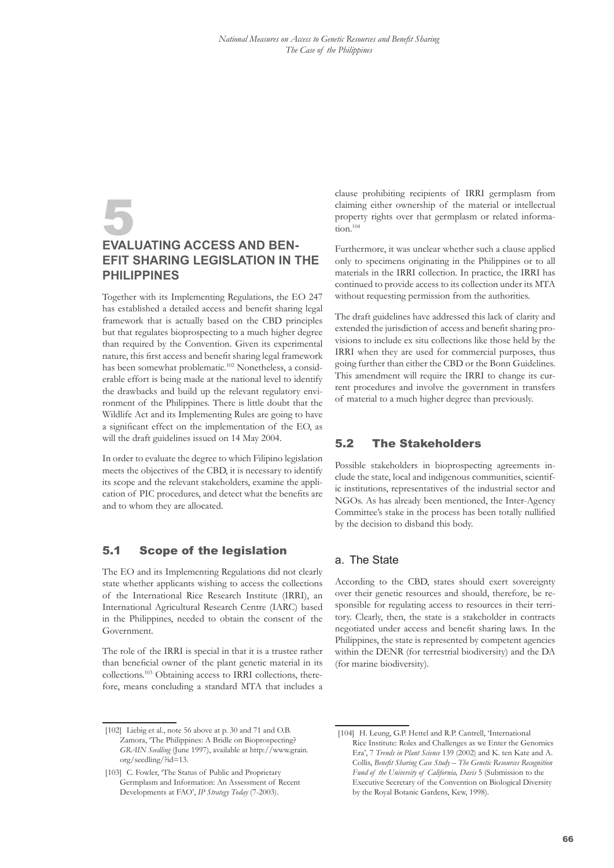### <span id="page-18-0"></span>5 **Evaluating Access and Benefit Sharing Legislation in the Philippines**

Together with its Implementing Regulations, the EO 247 has established a detailed access and benefit sharing legal framework that is actually based on the CBD principles but that regulates bioprospecting to a much higher degree than required by the Convention. Given its experimental nature, this first access and benefit sharing legal framework has been somewhat problematic.102 Nonetheless, a considerable effort is being made at the national level to identify the drawbacks and build up the relevant regulatory environment of the Philippines. There is little doubt that the Wildlife Act and its Implementing Rules are going to have a significant effect on the implementation of the EO, as will the draft guidelines issued on 14 May 2004.

In order to evaluate the degree to which Filipino legislation meets the objectives of the CBD, it is necessary to identify its scope and the relevant stakeholders, examine the application of PIC procedures, and detect what the benefits are and to whom they are allocated.

#### 5.1 Scope of the legislation

The EO and its Implementing Regulations did not clearly state whether applicants wishing to access the collections of the International Rice Research Institute (IRRI), an International Agricultural Research Centre (IARC) based in the Philippines, needed to obtain the consent of the Government.

The role of the IRRI is special in that it is a trustee rather than beneficial owner of the plant genetic material in its collections.103 Obtaining access to IRRI collections, therefore, means concluding a standard MTA that includes a clause prohibiting recipients of IRRI germplasm from claiming either ownership of the material or intellectual property rights over that germplasm or related information.<sup>104</sup>

Furthermore, it was unclear whether such a clause applied only to specimens originating in the Philippines or to all materials in the IRRI collection. In practice, the IRRI has continued to provide access to its collection under its MTA without requesting permission from the authorities.

The draft guidelines have addressed this lack of clarity and extended the jurisdiction of access and benefit sharing provisions to include ex situ collections like those held by the IRRI when they are used for commercial purposes, thus going further than either the CBD or the Bonn Guidelines. This amendment will require the IRRI to change its current procedures and involve the government in transfers of material to a much higher degree than previously.

#### 5.2 The Stakeholders

Possible stakeholders in bioprospecting agreements include the state, local and indigenous communities, scientific institutions, representatives of the industrial sector and NGOs. As has already been mentioned, the Inter-Agency Committee's stake in the process has been totally nullified by the decision to disband this body.

#### a. The State

According to the CBD, states should exert sovereignty over their genetic resources and should, therefore, be responsible for regulating access to resources in their territory. Clearly, then, the state is a stakeholder in contracts negotiated under access and benefit sharing laws. In the Philippines, the state is represented by competent agencies within the DENR (for terrestrial biodiversity) and the DA (for marine biodiversity).

<sup>[102]</sup> Liebig et al., note 56 above at p. 30 and 71 and O.B. Zamora, 'The Philippines: A Bridle on Bioprospecting? *GRAIN Seedling* (June 1997), available at http://www.grain. org/seedling/?id=13.

<sup>[103]</sup> C. Fowler, 'The Status of Public and Proprietary Germplasm and Information: An Assessment of Recent Developments at FAO', *IP Strategy Today* (7-2003).

<sup>[104]</sup> H. Leung, G.P. Hettel and R.P. Cantrell, 'International Rice Institute: Roles and Challenges as we Enter the Genomics Era', 7 *Trends in Plant Science* 139 (2002) and K. ten Kate and A. Collis, *Benefit Sharing Case Study – The Genetic Resources Recognition Fund of the University of California, Davis* 5 (Submission to the Executive Secretary of the Convention on Biological Diversity by the Royal Botanic Gardens, Kew, 1998).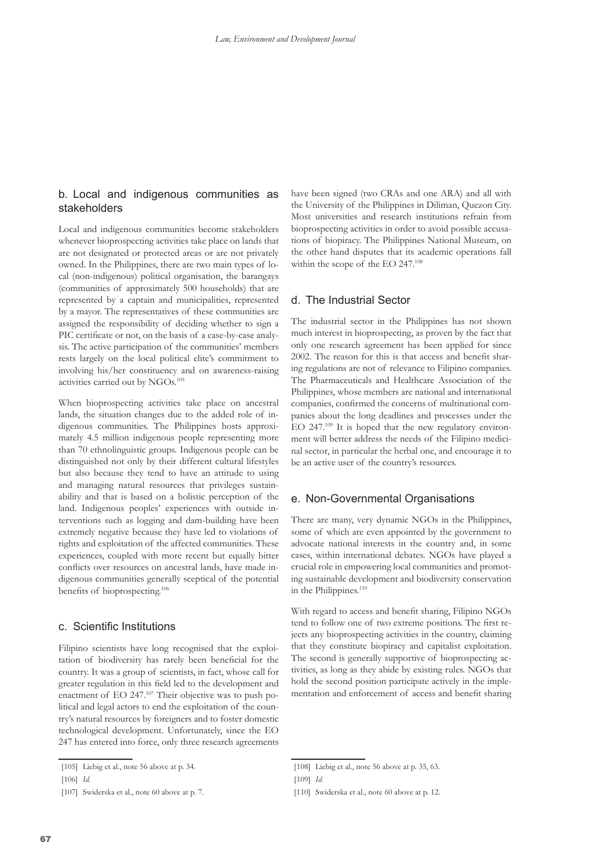#### b. Local and indigenous communities as stakeholders

Local and indigenous communities become stakeholders whenever bioprospecting activities take place on lands that are not designated or protected areas or are not privately owned. In the Philippines, there are two main types of local (non-indigenous) political organisation, the barangays (communities of approximately 500 households) that are represented by a captain and municipalities, represented by a mayor. The representatives of these communities are assigned the responsibility of deciding whether to sign a PIC certificate or not, on the basis of a case-by-case analysis. The active participation of the communities' members rests largely on the local political elite's commitment to involving his/her constituency and on awareness-raising activities carried out by NGOs.105

When bioprospecting activities take place on ancestral lands, the situation changes due to the added role of indigenous communities. The Philippines hosts approximately 4.5 million indigenous people representing more than 70 ethnolinguistic groups. Indigenous people can be distinguished not only by their different cultural lifestyles but also because they tend to have an attitude to using and managing natural resources that privileges sustainability and that is based on a holistic perception of the land. Indigenous peoples' experiences with outside interventions such as logging and dam-building have been extremely negative because they have led to violations of rights and exploitation of the affected communities. These experiences, coupled with more recent but equally bitter conflicts over resources on ancestral lands, have made indigenous communities generally sceptical of the potential benefits of bioprospecting.<sup>106</sup>

#### c. Scientific Institutions

Filipino scientists have long recognised that the exploitation of biodiversity has rarely been beneficial for the country. It was a group of scientists, in fact, whose call for greater regulation in this field led to the development and enactment of EO 247.<sup>107</sup> Their objective was to push political and legal actors to end the exploitation of the country's natural resources by foreigners and to foster domestic technological development. Unfortunately, since the EO 247 has entered into force, only three research agreements

have been signed (two CRAs and one ARA) and all with the University of the Philippines in Diliman, Quezon City. Most universities and research institutions refrain from bioprospecting activities in order to avoid possible accusations of biopiracy. The Philippines National Museum, on the other hand disputes that its academic operations fall within the scope of the EO 247.<sup>108</sup>

#### d. The Industrial Sector

The industrial sector in the Philippines has not shown much interest in bioprospecting, as proven by the fact that only one research agreement has been applied for since 2002. The reason for this is that access and benefit sharing regulations are not of relevance to Filipino companies. The Pharmaceuticals and Healthcare Association of the Philippines, whose members are national and international companies, confirmed the concerns of multinational companies about the long deadlines and processes under the EO 247.109 It is hoped that the new regulatory environment will better address the needs of the Filipino medicinal sector, in particular the herbal one, and encourage it to be an active user of the country's resources.

#### e. Non-Governmental Organisations

There are many, very dynamic NGOs in the Philippines, some of which are even appointed by the government to advocate national interests in the country and, in some cases, within international debates. NGOs have played a crucial role in empowering local communities and promoting sustainable development and biodiversity conservation in the Philippines.<sup>110</sup>

With regard to access and benefit sharing, Filipino NGOs tend to follow one of two extreme positions. The first rejects any bioprospecting activities in the country, claiming that they constitute biopiracy and capitalist exploitation. The second is generally supportive of bioprospecting activities, as long as they abide by existing rules. NGOs that hold the second position participate actively in the implementation and enforcement of access and benefit sharing

<sup>[105]</sup> Liebig et al., note 56 above at p. 34.

<sup>[106]</sup> *Id.*

<sup>[107]</sup> Swiderska et al., note 60 above at p. 7.

<sup>[108]</sup> Liebig et al., note 56 above at p. 35, 63.

<sup>[109]</sup> *Id*.

<sup>[110]</sup> Swiderska et al., note 60 above at p. 12.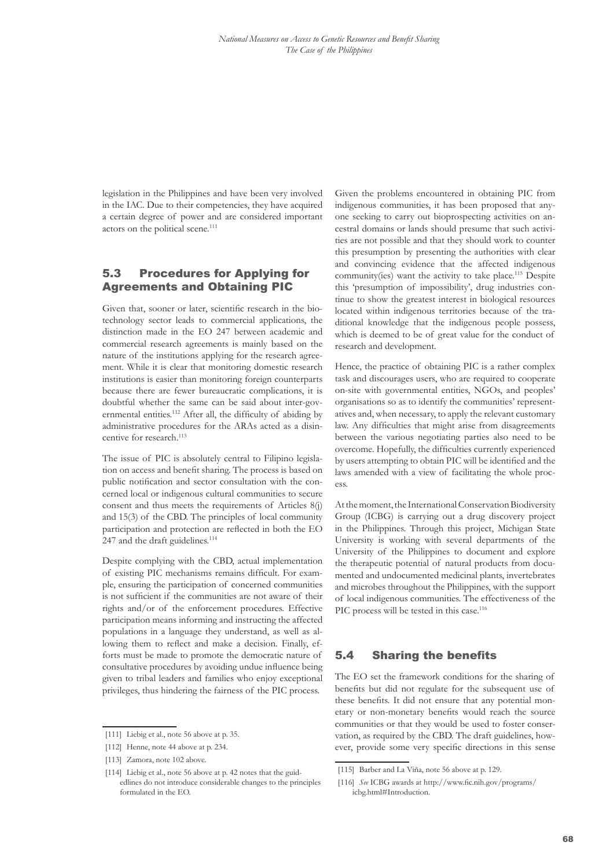<span id="page-20-0"></span>legislation in the Philippines and have been very involved in the IAC. Due to their competencies, they have acquired a certain degree of power and are considered important actors on the political scene.<sup>111</sup>

#### 5.3 Procedures for Applying for Agreements and Obtaining PIC

Given that, sooner or later, scientific research in the biotechnology sector leads to commercial applications, the distinction made in the EO 247 between academic and commercial research agreements is mainly based on the nature of the institutions applying for the research agreement. While it is clear that monitoring domestic research institutions is easier than monitoring foreign counterparts because there are fewer bureaucratic complications, it is doubtful whether the same can be said about inter-governmental entities.<sup>112</sup> After all, the difficulty of abiding by administrative procedures for the ARAs acted as a disincentive for research.<sup>113</sup>

The issue of PIC is absolutely central to Filipino legislation on access and benefit sharing. The process is based on public notification and sector consultation with the concerned local or indigenous cultural communities to secure consent and thus meets the requirements of Articles 8(j) and 15(3) of the CBD. The principles of local community participation and protection are reflected in both the EO 247 and the draft guidelines.<sup>114</sup>

Despite complying with the CBD, actual implementation of existing PIC mechanisms remains difficult. For example, ensuring the participation of concerned communities is not sufficient if the communities are not aware of their rights and/or of the enforcement procedures. Effective participation means informing and instructing the affected populations in a language they understand, as well as allowing them to reflect and make a decision. Finally, efforts must be made to promote the democratic nature of consultative procedures by avoiding undue influence being given to tribal leaders and families who enjoy exceptional privileges, thus hindering the fairness of the PIC process.

Given the problems encountered in obtaining PIC from indigenous communities, it has been proposed that anyone seeking to carry out bioprospecting activities on ancestral domains or lands should presume that such activities are not possible and that they should work to counter this presumption by presenting the authorities with clear and convincing evidence that the affected indigenous community(ies) want the activity to take place.<sup>115</sup> Despite this 'presumption of impossibility', drug industries continue to show the greatest interest in biological resources located within indigenous territories because of the traditional knowledge that the indigenous people possess, which is deemed to be of great value for the conduct of research and development.

Hence, the practice of obtaining PIC is a rather complex task and discourages users, who are required to cooperate on-site with governmental entities, NGOs, and peoples' organisations so as to identify the communities' representatives and, when necessary, to apply the relevant customary law. Any difficulties that might arise from disagreements between the various negotiating parties also need to be overcome. Hopefully, the difficulties currently experienced by users attempting to obtain PIC will be identified and the laws amended with a view of facilitating the whole proc $rac{1}{2}$ 

At the moment, the International Conservation Biodiversity Group (ICBG) is carrying out a drug discovery project in the Philippines. Through this project, Michigan State University is working with several departments of the University of the Philippines to document and explore the therapeutic potential of natural products from documented and undocumented medicinal plants, invertebrates and microbes throughout the Philippines, with the support of local indigenous communities. The effectiveness of the PIC process will be tested in this case.<sup>116</sup>

#### 5.4 Sharing the benefits

The EO set the framework conditions for the sharing of benefits but did not regulate for the subsequent use of these benefits. It did not ensure that any potential monetary or non-monetary benefits would reach the source communities or that they would be used to foster conservation, as required by the CBD. The draft guidelines, however, provide some very specific directions in this sense

<sup>[111]</sup> Liebig et al., note 56 above at p. 35.

<sup>[112]</sup> Henne, note 44 above at p. 234.

<sup>[113]</sup> Zamora, note 102 above.

<sup>[114]</sup> Liebig et al., note 56 above at p. 42 notes that the guidedlines do not introduce considerable changes to the principles formulated in the EO.

<sup>[115]</sup> Barber and La Viña, note 56 above at p. 129.

<sup>[116]</sup> *See* ICBG awards at http://www.fic.nih.gov/programs/ icbg.html#Introduction.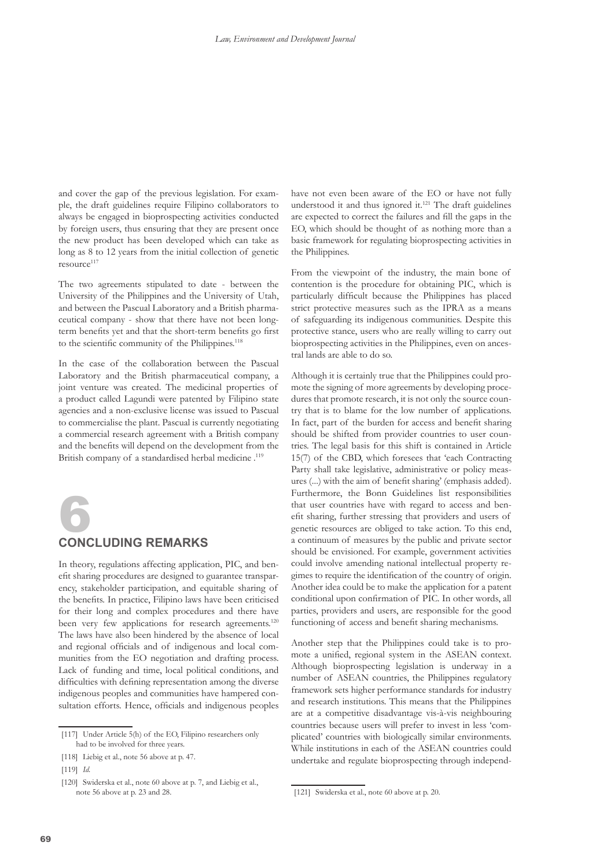<span id="page-21-0"></span>and cover the gap of the previous legislation. For example, the draft guidelines require Filipino collaborators to always be engaged in bioprospecting activities conducted by foreign users, thus ensuring that they are present once the new product has been developed which can take as long as 8 to 12 years from the initial collection of genetic resource<sup>117</sup>

The two agreements stipulated to date - between the University of the Philippines and the University of Utah, and between the Pascual Laboratory and a British pharmaceutical company - show that there have not been longterm benefits yet and that the short-term benefits go first to the scientific community of the Philippines.<sup>118</sup>

In the case of the collaboration between the Pascual Laboratory and the British pharmaceutical company, a joint venture was created. The medicinal properties of a product called Lagundi were patented by Filipino state agencies and a non-exclusive license was issued to Pascual to commercialise the plant. Pascual is currently negotiating a commercial research agreement with a British company and the benefits will depend on the development from the British company of a standardised herbal medicine.<sup>119</sup>



# 6 **Concluding remarks**

In theory, regulations affecting application, PIC, and benefit sharing procedures are designed to guarantee transparency, stakeholder participation, and equitable sharing of the benefits. In practice, Filipino laws have been criticised for their long and complex procedures and there have been very few applications for research agreements.<sup>120</sup> The laws have also been hindered by the absence of local and regional officials and of indigenous and local communities from the EO negotiation and drafting process. Lack of funding and time, local political conditions, and difficulties with defining representation among the diverse indigenous peoples and communities have hampered consultation efforts. Hence, officials and indigenous peoples

have not even been aware of the EO or have not fully understood it and thus ignored it.<sup>121</sup> The draft guidelines are expected to correct the failures and fill the gaps in the EO, which should be thought of as nothing more than a basic framework for regulating bioprospecting activities in the Philippines.

From the viewpoint of the industry, the main bone of contention is the procedure for obtaining PIC, which is particularly difficult because the Philippines has placed strict protective measures such as the IPRA as a means of safeguarding its indigenous communities. Despite this protective stance, users who are really willing to carry out bioprospecting activities in the Philippines, even on ancestral lands are able to do so.

Although it is certainly true that the Philippines could promote the signing of more agreements by developing procedures that promote research, it is not only the source country that is to blame for the low number of applications. In fact, part of the burden for access and benefit sharing should be shifted from provider countries to user countries. The legal basis for this shift is contained in Article 15(7) of the CBD, which foresees that 'each Contracting Party shall take legislative, administrative or policy measures (...) with the aim of benefit sharing' (emphasis added). Furthermore, the Bonn Guidelines list responsibilities that user countries have with regard to access and benefit sharing, further stressing that providers and users of genetic resources are obliged to take action. To this end, a continuum of measures by the public and private sector should be envisioned. For example, government activities could involve amending national intellectual property regimes to require the identification of the country of origin. Another idea could be to make the application for a patent conditional upon confirmation of PIC. In other words, all parties, providers and users, are responsible for the good functioning of access and benefit sharing mechanisms.

Another step that the Philippines could take is to promote a unified, regional system in the ASEAN context. Although bioprospecting legislation is underway in a number of ASEAN countries, the Philippines regulatory framework sets higher performance standards for industry and research institutions. This means that the Philippines are at a competitive disadvantage vis-à-vis neighbouring countries because users will prefer to invest in less 'complicated' countries with biologically similar environments. While institutions in each of the ASEAN countries could undertake and regulate bioprospecting through independ-

<sup>[117]</sup> Under Article 5(h) of the EO, Filipino researchers only had to be involved for three years.

<sup>[118]</sup> Liebig et al., note 56 above at p. 47.

<sup>[119]</sup> *Id.*

<sup>[120]</sup> Swiderska et al., note 60 above at p. 7, and Liebig et al., note 56 above at p. 23 and 28.

<sup>[121]</sup> Swiderska et al., note 60 above at p. 20.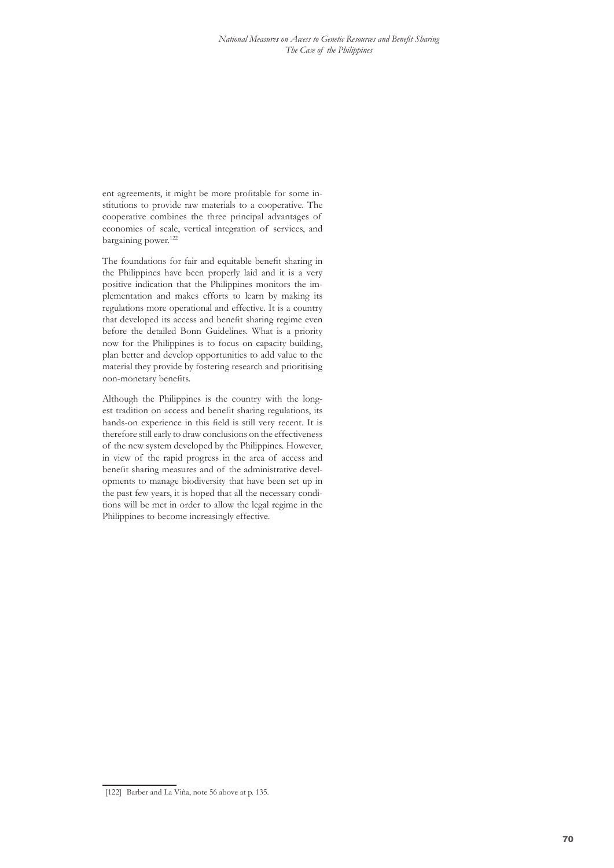ent agreements, it might be more profitable for some institutions to provide raw materials to a cooperative. The cooperative combines the three principal advantages of economies of scale, vertical integration of services, and bargaining power.<sup>122</sup>

The foundations for fair and equitable benefit sharing in the Philippines have been properly laid and it is a very positive indication that the Philippines monitors the implementation and makes efforts to learn by making its regulations more operational and effective. It is a country that developed its access and benefit sharing regime even before the detailed Bonn Guidelines. What is a priority now for the Philippines is to focus on capacity building, plan better and develop opportunities to add value to the material they provide by fostering research and prioritising non-monetary benefits.

Although the Philippines is the country with the longest tradition on access and benefit sharing regulations, its hands-on experience in this field is still very recent. It is therefore still early to draw conclusions on the effectiveness of the new system developed by the Philippines. However, in view of the rapid progress in the area of access and benefit sharing measures and of the administrative developments to manage biodiversity that have been set up in the past few years, it is hoped that all the necessary conditions will be met in order to allow the legal regime in the Philippines to become increasingly effective.

<sup>[122]</sup> Barber and La Viña, note 56 above at p. 135.